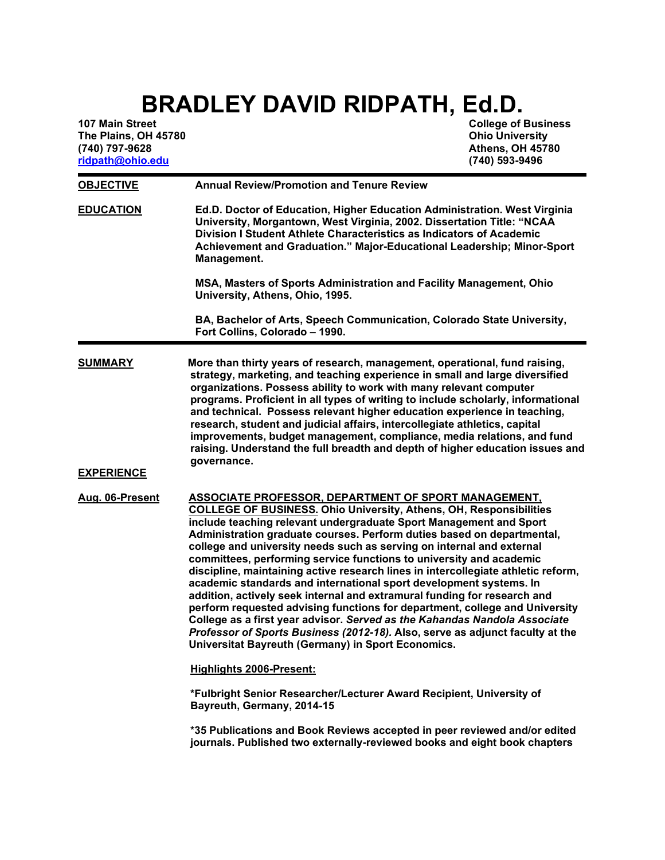# **BRADLEY DAVID RIDPATH, Ed.D.**

**107 Main Street College of Business** The Plains, OH 45780<br>(740) 797-9628 **ridpath@ohio.edu (740) 593-9496**

**(740) 797-9628 Athens, OH 45780**

| <b>OBJECTIVE</b>  | <b>Annual Review/Promotion and Tenure Review</b>                                                                                                                                                                                                                                                                                                                                                                                                                                                                                                                                                                                                                                                                                                                                                                                                                                                                                                                                   |  |
|-------------------|------------------------------------------------------------------------------------------------------------------------------------------------------------------------------------------------------------------------------------------------------------------------------------------------------------------------------------------------------------------------------------------------------------------------------------------------------------------------------------------------------------------------------------------------------------------------------------------------------------------------------------------------------------------------------------------------------------------------------------------------------------------------------------------------------------------------------------------------------------------------------------------------------------------------------------------------------------------------------------|--|
| <b>EDUCATION</b>  | Ed.D. Doctor of Education, Higher Education Administration. West Virginia<br>University, Morgantown, West Virginia, 2002. Dissertation Title: "NCAA<br>Division I Student Athlete Characteristics as Indicators of Academic<br>Achievement and Graduation." Major-Educational Leadership; Minor-Sport<br>Management.                                                                                                                                                                                                                                                                                                                                                                                                                                                                                                                                                                                                                                                               |  |
|                   | MSA, Masters of Sports Administration and Facility Management, Ohio<br>University, Athens, Ohio, 1995.                                                                                                                                                                                                                                                                                                                                                                                                                                                                                                                                                                                                                                                                                                                                                                                                                                                                             |  |
|                   | BA, Bachelor of Arts, Speech Communication, Colorado State University,<br>Fort Collins, Colorado - 1990.                                                                                                                                                                                                                                                                                                                                                                                                                                                                                                                                                                                                                                                                                                                                                                                                                                                                           |  |
| <b>SUMMARY</b>    | More than thirty years of research, management, operational, fund raising,<br>strategy, marketing, and teaching experience in small and large diversified<br>organizations. Possess ability to work with many relevant computer<br>programs. Proficient in all types of writing to include scholarly, informational<br>and technical. Possess relevant higher education experience in teaching,<br>research, student and judicial affairs, intercollegiate athletics, capital<br>improvements, budget management, compliance, media relations, and fund<br>raising. Understand the full breadth and depth of higher education issues and<br>governance.                                                                                                                                                                                                                                                                                                                            |  |
| <b>EXPERIENCE</b> |                                                                                                                                                                                                                                                                                                                                                                                                                                                                                                                                                                                                                                                                                                                                                                                                                                                                                                                                                                                    |  |
| Aug. 06-Present   | <b>ASSOCIATE PROFESSOR, DEPARTMENT OF SPORT MANAGEMENT,</b><br><b>COLLEGE OF BUSINESS. Ohio University, Athens, OH, Responsibilities</b><br>include teaching relevant undergraduate Sport Management and Sport<br>Administration graduate courses. Perform duties based on departmental,<br>college and university needs such as serving on internal and external<br>committees, performing service functions to university and academic<br>discipline, maintaining active research lines in intercollegiate athletic reform,<br>academic standards and international sport development systems. In<br>addition, actively seek internal and extramural funding for research and<br>perform requested advising functions for department, college and University<br>College as a first year advisor. Served as the Kahandas Nandola Associate<br>Professor of Sports Business (2012-18). Also, serve as adjunct faculty at the<br>Universitat Bayreuth (Germany) in Sport Economics. |  |
|                   | <b>Highlights 2006-Present:</b>                                                                                                                                                                                                                                                                                                                                                                                                                                                                                                                                                                                                                                                                                                                                                                                                                                                                                                                                                    |  |
|                   | *Fulbright Senior Researcher/Lecturer Award Recipient, University of<br>Bayreuth, Germany, 2014-15                                                                                                                                                                                                                                                                                                                                                                                                                                                                                                                                                                                                                                                                                                                                                                                                                                                                                 |  |
|                   | *35 Publications and Book Reviews accepted in peer reviewed and/or edited<br>journals. Published two externally-reviewed books and eight book chapters                                                                                                                                                                                                                                                                                                                                                                                                                                                                                                                                                                                                                                                                                                                                                                                                                             |  |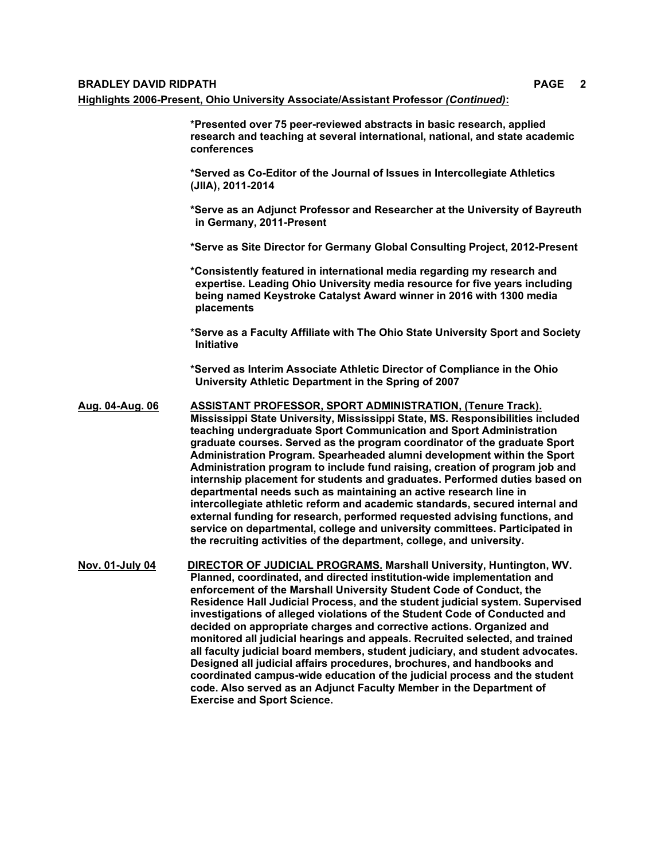**\*Presented over 75 peer-reviewed abstracts in basic research, applied research and teaching at several international, national, and state academic conferences**

**\*Served as Co-Editor of the Journal of Issues in Intercollegiate Athletics (JIIA), 2011-2014**

**\*Serve as an Adjunct Professor and Researcher at the University of Bayreuth in Germany, 2011-Present**

**\*Serve as Site Director for Germany Global Consulting Project, 2012-Present**

**\*Consistently featured in international media regarding my research and expertise. Leading Ohio University media resource for five years including being named Keystroke Catalyst Award winner in 2016 with 1300 media placements**

**\*Serve as a Faculty Affiliate with The Ohio State University Sport and Society Initiative**

**\*Served as Interim Associate Athletic Director of Compliance in the Ohio University Athletic Department in the Spring of 2007**

**Aug. 04-Aug. 06 ASSISTANT PROFESSOR, SPORT ADMINISTRATION, (Tenure Track). Mississippi State University, Mississippi State, MS. Responsibilities included teaching undergraduate Sport Communication and Sport Administration graduate courses. Served as the program coordinator of the graduate Sport Administration Program. Spearheaded alumni development within the Sport Administration program to include fund raising, creation of program job and internship placement for students and graduates. Performed duties based on departmental needs such as maintaining an active research line in intercollegiate athletic reform and academic standards, secured internal and external funding for research, performed requested advising functions, and service on departmental, college and university committees. Participated in the recruiting activities of the department, college, and university.**

**Nov. 01-July 04 DIRECTOR OF JUDICIAL PROGRAMS. Marshall University, Huntington, WV. Planned, coordinated, and directed institution-wide implementation and enforcement of the Marshall University Student Code of Conduct, the Residence Hall Judicial Process, and the student judicial system. Supervised investigations of alleged violations of the Student Code of Conducted and decided on appropriate charges and corrective actions. Organized and monitored all judicial hearings and appeals. Recruited selected, and trained all faculty judicial board members, student judiciary, and student advocates. Designed all judicial affairs procedures, brochures, and handbooks and coordinated campus-wide education of the judicial process and the student code. Also served as an Adjunct Faculty Member in the Department of Exercise and Sport Science.**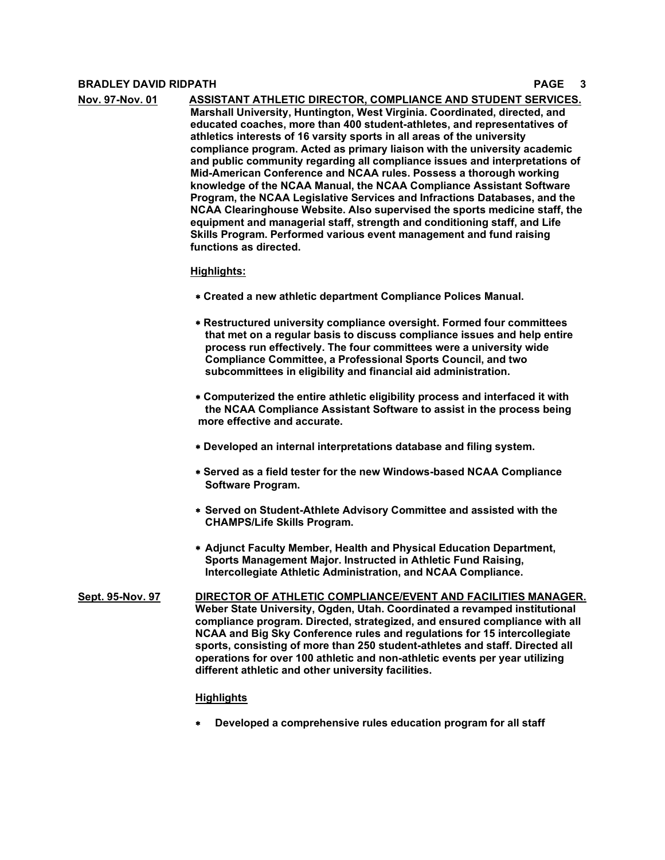# **BRADLEY DAVID RIDPATH PAGE** 3

| Nov. 97-Nov. 01  | ASSISTANT ATHLETIC DIRECTOR, COMPLIANCE AND STUDENT SERVICES.<br>Marshall University, Huntington, West Virginia. Coordinated, directed, and<br>educated coaches, more than 400 student-athletes, and representatives of<br>athletics interests of 16 varsity sports in all areas of the university<br>compliance program. Acted as primary liaison with the university academic<br>and public community regarding all compliance issues and interpretations of<br>Mid-American Conference and NCAA rules. Possess a thorough working<br>knowledge of the NCAA Manual, the NCAA Compliance Assistant Software<br>Program, the NCAA Legislative Services and Infractions Databases, and the<br>NCAA Clearinghouse Website. Also supervised the sports medicine staff, the<br>equipment and managerial staff, strength and conditioning staff, and Life<br>Skills Program. Performed various event management and fund raising<br>functions as directed. |
|------------------|-------------------------------------------------------------------------------------------------------------------------------------------------------------------------------------------------------------------------------------------------------------------------------------------------------------------------------------------------------------------------------------------------------------------------------------------------------------------------------------------------------------------------------------------------------------------------------------------------------------------------------------------------------------------------------------------------------------------------------------------------------------------------------------------------------------------------------------------------------------------------------------------------------------------------------------------------------|
|                  | Highlights:                                                                                                                                                                                                                                                                                                                                                                                                                                                                                                                                                                                                                                                                                                                                                                                                                                                                                                                                           |
|                  | * Created a new athletic department Compliance Polices Manual.                                                                                                                                                                                                                                                                                                                                                                                                                                                                                                                                                                                                                                                                                                                                                                                                                                                                                        |
|                  | * Restructured university compliance oversight. Formed four committees<br>that met on a regular basis to discuss compliance issues and help entire<br>process run effectively. The four committees were a university wide<br><b>Compliance Committee, a Professional Sports Council, and two</b><br>subcommittees in eligibility and financial aid administration.                                                                                                                                                                                                                                                                                                                                                                                                                                                                                                                                                                                    |
|                  | * Computerized the entire athletic eligibility process and interfaced it with<br>the NCAA Compliance Assistant Software to assist in the process being<br>more effective and accurate.                                                                                                                                                                                                                                                                                                                                                                                                                                                                                                                                                                                                                                                                                                                                                                |
|                  | * Developed an internal interpretations database and filing system.                                                                                                                                                                                                                                                                                                                                                                                                                                                                                                                                                                                                                                                                                                                                                                                                                                                                                   |
|                  | * Served as a field tester for the new Windows-based NCAA Compliance<br>Software Program.                                                                                                                                                                                                                                                                                                                                                                                                                                                                                                                                                                                                                                                                                                                                                                                                                                                             |
|                  | * Served on Student-Athlete Advisory Committee and assisted with the<br><b>CHAMPS/Life Skills Program.</b>                                                                                                                                                                                                                                                                                                                                                                                                                                                                                                                                                                                                                                                                                                                                                                                                                                            |
|                  | * Adjunct Faculty Member, Health and Physical Education Department,<br>Sports Management Major. Instructed in Athletic Fund Raising,<br>Intercollegiate Athletic Administration, and NCAA Compliance.                                                                                                                                                                                                                                                                                                                                                                                                                                                                                                                                                                                                                                                                                                                                                 |
| Sept. 95-Nov. 97 | DIRECTOR OF ATHLETIC COMPLIANCE/EVENT AND FACILITIES MANAGER.<br>Weber State University, Ogden, Utah. Coordinated a revamped institutional<br>compliance program. Directed, strategized, and ensured compliance with all<br>NCAA and Big Sky Conference rules and regulations for 15 intercollegiate<br>sports, consisting of more than 250 student-athletes and staff. Directed all<br>operations for over 100 athletic and non-athletic events per year utilizing<br>different athletic and other university facilities.                                                                                                                                                                                                                                                                                                                                                                                                                            |
|                  | Highlighte                                                                                                                                                                                                                                                                                                                                                                                                                                                                                                                                                                                                                                                                                                                                                                                                                                                                                                                                            |

#### **Highlights**

\* **Developed a comprehensive rules education program for all staff**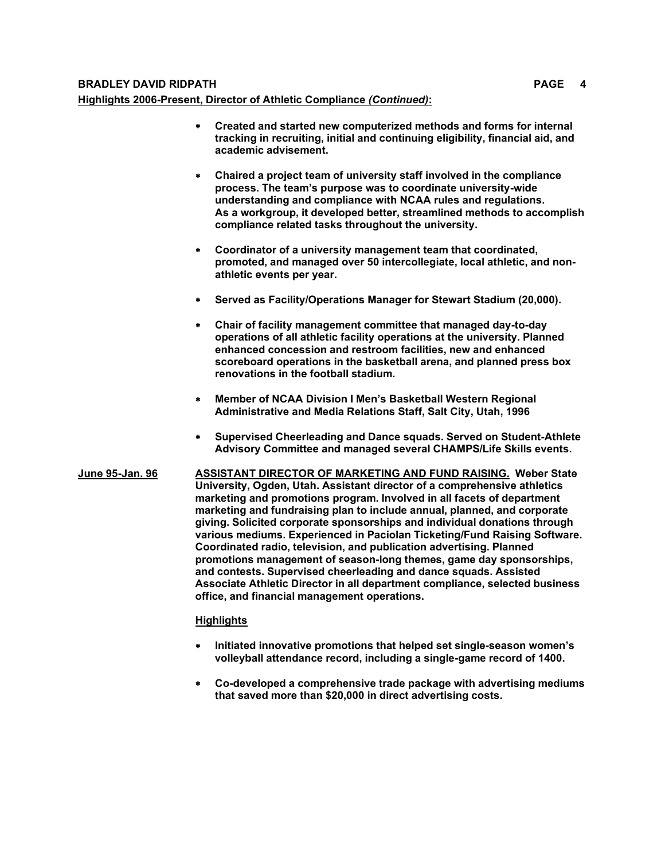- \* **Created and started new computerized methods and forms for internal tracking in recruiting, initial and continuing eligibility, financial aid, and academic advisement.**
- \* **Chaired a project team of university staff involved in the compliance process. The team's purpose was to coordinate university-wide understanding and compliance with NCAA rules and regulations. As a workgroup, it developed better, streamlined methods to accomplish compliance related tasks throughout the university.**
- \* **Coordinator of a university management team that coordinated, promoted, and managed over 50 intercollegiate, local athletic, and nonathletic events per year.**
- Served as Facility/Operations Manager for Stewart Stadium (20,000).
- \* **Chair of facility management committee that managed day-to-day** operations of all athletic facility operations at the university. Planned **enhanced concession and restroom facilities, new and enhanced scoreboard operations in the basketball arena, and planned press box renovations in the football stadium.**
- \* **Member of NCAA Division I Men's Basketball Western Regional Administrative and Media Relations Staff, Salt City, Utah, 1996**
- \* **Supervised Cheerleading and Dance squads. Served on Student-Athlete Advisory Committee and managed several CHAMPS/Life Skills events.**
- **June 95-Jan. 96 ASSISTANT DIRECTOR OF MARKETING AND FUND RAISING. Weber State University, Ogden, Utah. Assistant director of a comprehensive athletics marketing and promotions program. Involved in all facets of department marketing and fundraising plan to include annual, planned, and corporate giving. Solicited corporate sponsorships and individual donations through various mediums. Experienced in Paciolan Ticketing/Fund Raising Software. Coordinated radio, television, and publication advertising. Planned promotions management of season-long themes, game day sponsorships, and contests. Supervised cheerleading and dance squads. Assisted Associate Athletic Director in all department compliance, selected business office, and financial management operations.**

#### **Highlights**

- \* **Initiated innovative promotions that helped set single-season women's volleyball attendance record, including a single-game record of 1400.**
- \* **Co-developed a comprehensive trade package with advertising mediums that saved more than \$20,000 in direct advertising costs.**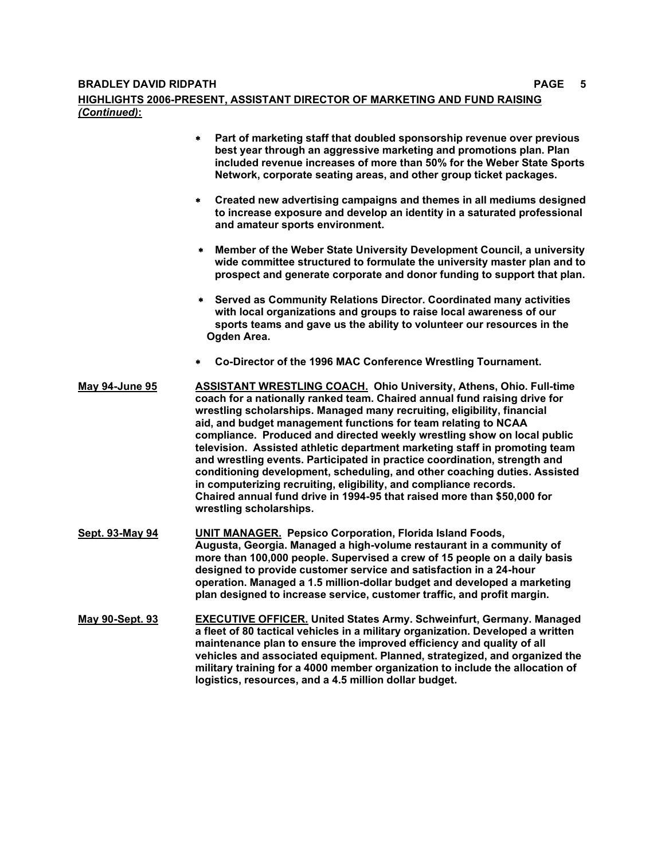# **BRADLEY DAVID RIDPATH PAGE 5 HIGHLIGHTS 2006-PRESENT, ASSISTANT DIRECTOR OF MARKETING AND FUND RAISING** *(Continued)***:**

|                       | Part of marketing staff that doubled sponsorship revenue over previous<br>$\ast$<br>best year through an aggressive marketing and promotions plan. Plan<br>included revenue increases of more than 50% for the Weber State Sports<br>Network, corporate seating areas, and other group ticket packages.                                                                                                                                                                                                                                                                                                                                                                                                                                                                                            |  |  |
|-----------------------|----------------------------------------------------------------------------------------------------------------------------------------------------------------------------------------------------------------------------------------------------------------------------------------------------------------------------------------------------------------------------------------------------------------------------------------------------------------------------------------------------------------------------------------------------------------------------------------------------------------------------------------------------------------------------------------------------------------------------------------------------------------------------------------------------|--|--|
|                       | Created new advertising campaigns and themes in all mediums designed<br>*<br>to increase exposure and develop an identity in a saturated professional<br>and amateur sports environment.                                                                                                                                                                                                                                                                                                                                                                                                                                                                                                                                                                                                           |  |  |
|                       | Member of the Weber State University Development Council, a university<br>$\star$<br>wide committee structured to formulate the university master plan and to<br>prospect and generate corporate and donor funding to support that plan.                                                                                                                                                                                                                                                                                                                                                                                                                                                                                                                                                           |  |  |
|                       | Served as Community Relations Director. Coordinated many activities<br>*<br>with local organizations and groups to raise local awareness of our<br>sports teams and gave us the ability to volunteer our resources in the<br>Ogden Area.                                                                                                                                                                                                                                                                                                                                                                                                                                                                                                                                                           |  |  |
|                       | Co-Director of the 1996 MAC Conference Wrestling Tournament.<br>*                                                                                                                                                                                                                                                                                                                                                                                                                                                                                                                                                                                                                                                                                                                                  |  |  |
| <u>May 94-June 95</u> | <b>ASSISTANT WRESTLING COACH.</b> Ohio University, Athens, Ohio. Full-time<br>coach for a nationally ranked team. Chaired annual fund raising drive for<br>wrestling scholarships. Managed many recruiting, eligibility, financial<br>aid, and budget management functions for team relating to NCAA<br>compliance. Produced and directed weekly wrestling show on local public<br>television. Assisted athletic department marketing staff in promoting team<br>and wrestling events. Participated in practice coordination, strength and<br>conditioning development, scheduling, and other coaching duties. Assisted<br>in computerizing recruiting, eligibility, and compliance records.<br>Chaired annual fund drive in 1994-95 that raised more than \$50,000 for<br>wrestling scholarships. |  |  |
| Sept. 93-May 94       | <b>UNIT MANAGER.</b> Pepsico Corporation, Florida Island Foods,<br>Augusta, Georgia. Managed a high-volume restaurant in a community of<br>more than 100,000 people. Supervised a crew of 15 people on a daily basis<br>designed to provide customer service and satisfaction in a 24-hour<br>operation. Managed a 1.5 million-dollar budget and developed a marketing<br>plan designed to increase service, customer traffic, and profit margin.                                                                                                                                                                                                                                                                                                                                                  |  |  |
| May 90-Sept. 93       | <b>EXECUTIVE OFFICER. United States Army. Schweinfurt, Germany. Managed</b><br>a fleet of 80 tactical vehicles in a military organization. Developed a written<br>maintenance plan to ensure the improved efficiency and quality of all<br>vehicles and associated equipment. Planned, strategized, and organized the<br>military training for a 4000 member organization to include the allocation of                                                                                                                                                                                                                                                                                                                                                                                             |  |  |

**logistics, resources, and a 4.5 million dollar budget.**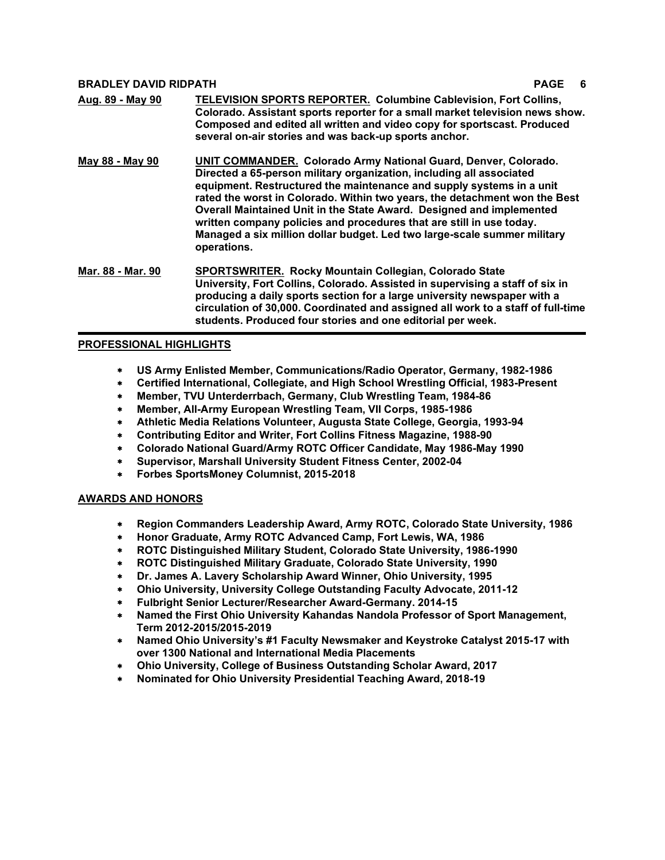#### **BRADLEY DAVID RIDPATH PAGE 6**

- **Aug. 89 - May 90 TELEVISION SPORTS REPORTER. Columbine Cablevision, Fort Collins, Colorado. Assistant sports reporter for a small market television news show. Composed and edited all written and video copy for sportscast. Produced several on-air stories and was back-up sports anchor.**
- **May 88 - May 90 UNIT COMMANDER. Colorado Army National Guard, Denver, Colorado. Directed a 65-person military organization, including all associated equipment. Restructured the maintenance and supply systems in a unit rated the worst in Colorado. Within two years, the detachment won the Best Overall Maintained Unit in the State Award. Designed and implemented written company policies and procedures that are still in use today. Managed a six million dollar budget. Led two large-scale summer military operations.**

**Mar. 88 - Mar. 90 SPORTSWRITER. Rocky Mountain Collegian, Colorado State University, Fort Collins, Colorado. Assisted in supervising a staff of six in producing a daily sports section for a large university newspaper with a circulation of 30,000. Coordinated and assigned all work to a staff of full-time students. Produced four stories and one editorial per week.**

## **PROFESSIONAL HIGHLIGHTS**

- \* **US Army Enlisted Member, Communications/Radio Operator, Germany, 1982-1986**
- \* **Certified International, Collegiate, and High School Wrestling Official, 1983-Present**
- \* **Member, TVU Unterderrbach, Germany, Club Wrestling Team, 1984-86**
- \* **Member, All-Army European Wrestling Team, VII Corps, 1985-1986**
- \* **Athletic Media Relations Volunteer, Augusta State College, Georgia, 1993-94**
- \* **Contributing Editor and Writer, Fort Collins Fitness Magazine, 1988-90**
- \* **Colorado National Guard/Army ROTC Officer Candidate, May 1986-May 1990**
- \* **Supervisor, Marshall University Student Fitness Center, 2002-04**
- \* **Forbes SportsMoney Columnist, 2015-2018**

#### **AWARDS AND HONORS**

- \* **Region Commanders Leadership Award, Army ROTC, Colorado State University, 1986**
- \* **Honor Graduate, Army ROTC Advanced Camp, Fort Lewis, WA, 1986**
- \* **ROTC Distinguished Military Student, Colorado State University, 1986-1990**
- \* **ROTC Distinguished Military Graduate, Colorado State University, 1990**
- \* **Dr. James A. Lavery Scholarship Award Winner, Ohio University, 1995**
- \* **Ohio University, University College Outstanding Faculty Advocate, 2011-12**
- \* **Fulbright Senior Lecturer/Researcher Award-Germany. 2014-15**
- \* **Named the First Ohio University Kahandas Nandola Professor of Sport Management, Term 2012-2015/2015-2019**
- \* **Named Ohio University's #1 Faculty Newsmaker and Keystroke Catalyst 2015-17 with over 1300 National and International Media Placements**
- \* **Ohio University, College of Business Outstanding Scholar Award, 2017**
- \* **Nominated for Ohio University Presidential Teaching Award, 2018-19**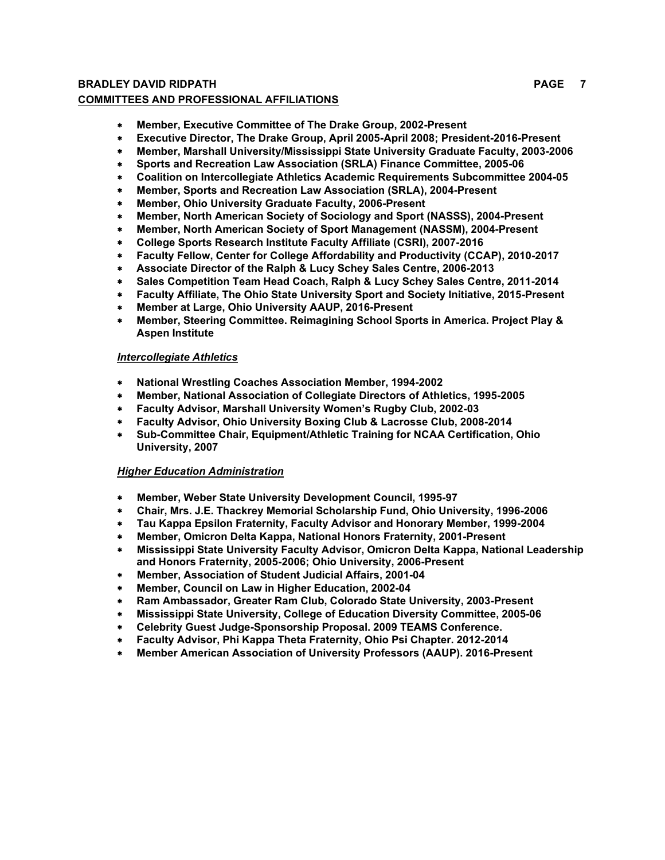# **BRADLEY DAVID RIDPATH PAGE 7 COMMITTEES AND PROFESSIONAL AFFILIATIONS**

- \* **Member, Executive Committee of The Drake Group, 2002-Present**
- \* **Executive Director, The Drake Group, April 2005-April 2008; President-2016-Present**
- \* **Member, Marshall University/Mississippi State University Graduate Faculty, 2003-2006**
- \* **Sports and Recreation Law Association (SRLA) Finance Committee, 2005-06**
- \* **Coalition on Intercollegiate Athletics Academic Requirements Subcommittee 2004-05**
- \* **Member, Sports and Recreation Law Association (SRLA), 2004-Present**
- **Member, Ohio University Graduate Faculty, 2006-Present**
- \* **Member, North American Society of Sociology and Sport (NASSS), 2004-Present**
- \* **Member, North American Society of Sport Management (NASSM), 2004-Present**
- \* **College Sports Research Institute Faculty Affiliate (CSRI), 2007-2016**
- \* **Faculty Fellow, Center for College Affordability and Productivity (CCAP), 2010-2017**
- \* **Associate Director of the Ralph & Lucy Schey Sales Centre, 2006-2013**
- \* **Sales Competition Team Head Coach, Ralph & Lucy Schey Sales Centre, 2011-2014**
- \* **Faculty Affiliate, The Ohio State University Sport and Society Initiative, 2015-Present**
- **Member at Large, Ohio University AAUP, 2016-Present**
- \* **Member, Steering Committee. Reimagining School Sports in America. Project Play & Aspen Institute**

#### *Intercollegiate Athletics*

- \* **National Wrestling Coaches Association Member, 1994-2002**
- \* **Member, National Association of Collegiate Directors of Athletics, 1995-2005**
- \* **Faculty Advisor, Marshall University Women's Rugby Club, 2002-03**
- \* **Faculty Advisor, Ohio University Boxing Club & Lacrosse Club, 2008-2014**
- \* **Sub-Committee Chair, Equipment/Athletic Training for NCAA Certification, Ohio University, 2007**

#### *Higher Education Administration*

- \* **Member, Weber State University Development Council, 1995-97**
- \* **Chair, Mrs. J.E. Thackrey Memorial Scholarship Fund, Ohio University, 1996-2006**
- \* **Tau Kappa Epsilon Fraternity, Faculty Advisor and Honorary Member, 1999-2004**
- \* **Member, Omicron Delta Kappa, National Honors Fraternity, 2001-Present**
- \* **Mississippi State University Faculty Advisor, Omicron Delta Kappa, National Leadership and Honors Fraternity, 2005-2006; Ohio University, 2006-Present**
- \* **Member, Association of Student Judicial Affairs, 2001-04**
- **Member, Council on Law in Higher Education, 2002-04**
- \* **Ram Ambassador, Greater Ram Club, Colorado State University, 2003-Present**
- \* **Mississippi State University, College of Education Diversity Committee, 2005-06**
- \* **Celebrity Guest Judge-Sponsorship Proposal. 2009 TEAMS Conference.**
- \* **Faculty Advisor, Phi Kappa Theta Fraternity, Ohio Psi Chapter. 2012-2014**
- \* **Member American Association of University Professors (AAUP). 2016-Present**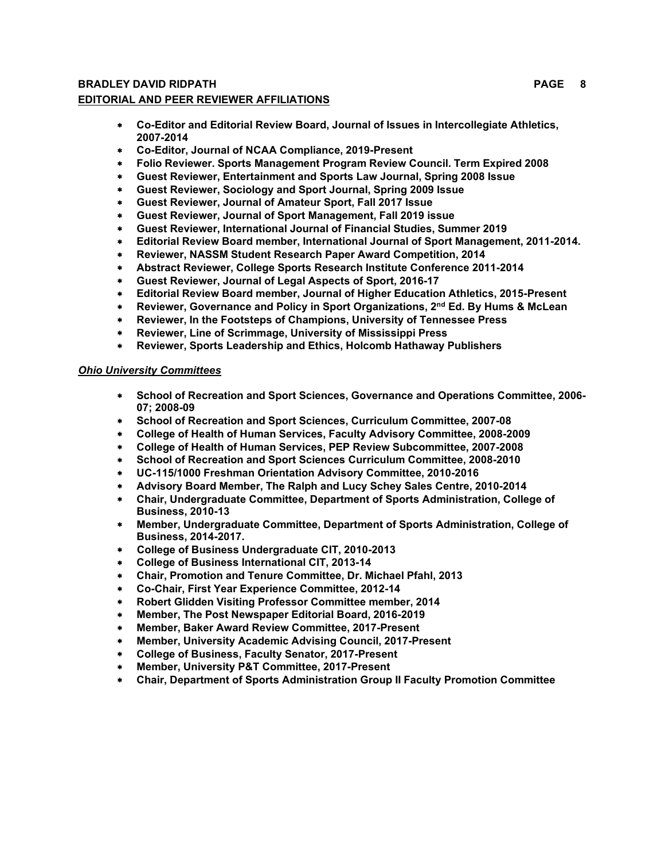## **BRADLEY DAVID RIDPATH PAGE 8 EDITORIAL AND PEER REVIEWER AFFILIATIONS**

- \* **Co-Editor and Editorial Review Board, Journal of Issues in Intercollegiate Athletics, 2007-2014**
- \* **Co-Editor, Journal of NCAA Compliance, 2019-Present**
- \* **Folio Reviewer. Sports Management Program Review Council. Term Expired 2008**
- \* **Guest Reviewer, Entertainment and Sports Law Journal, Spring 2008 Issue**
- \* **Guest Reviewer, Sociology and Sport Journal, Spring 2009 Issue**
- \* **Guest Reviewer, Journal of Amateur Sport, Fall 2017 Issue**
- \* **Guest Reviewer, Journal of Sport Management, Fall 2019 issue**
- \* **Guest Reviewer, International Journal of Financial Studies, Summer 2019**
- \* **Editorial Review Board member, International Journal of Sport Management, 2011-2014.**
- \* **Reviewer, NASSM Student Research Paper Award Competition, 2014**
- \* **Abstract Reviewer, College Sports Research Institute Conference 2011-2014**
- \* **Guest Reviewer, Journal of Legal Aspects of Sport, 2016-17**
- \* **Editorial Review Board member, Journal of Higher Education Athletics, 2015-Present**
- \* **Reviewer, Governance and Policy in Sport Organizations, 2nd Ed. By Hums & McLean**
- \* **Reviewer, In the Footsteps of Champions, University of Tennessee Press**
- \* **Reviewer, Line of Scrimmage, University of Mississippi Press**
- \* **Reviewer, Sports Leadership and Ethics, Holcomb Hathaway Publishers**

#### *Ohio University Committees*

- \* **School of Recreation and Sport Sciences, Governance and Operations Committee, 2006- 07; 2008-09**
- \* **School of Recreation and Sport Sciences, Curriculum Committee, 2007-08**
- \* **College of Health of Human Services, Faculty Advisory Committee, 2008-2009**
- \* **College of Health of Human Services, PEP Review Subcommittee, 2007-2008**
- \* **School of Recreation and Sport Sciences Curriculum Committee, 2008-2010**
- \* **UC-115/1000 Freshman Orientation Advisory Committee, 2010-2016**
- \* **Advisory Board Member, The Ralph and Lucy Schey Sales Centre, 2010-2014**
- \* **Chair, Undergraduate Committee, Department of Sports Administration, College of Business, 2010-13**
- \* **Member, Undergraduate Committee, Department of Sports Administration, College of Business, 2014-2017.**
- \* **College of Business Undergraduate CIT, 2010-2013**
- \* **College of Business International CIT, 2013-14**
- \* **Chair, Promotion and Tenure Committee, Dr. Michael Pfahl, 2013**
- \* **Co-Chair, First Year Experience Committee, 2012-14**
- \* **Robert Glidden Visiting Professor Committee member, 2014**
- \* **Member, The Post Newspaper Editorial Board, 2016-2019**
- \* **Member, Baker Award Review Committee, 2017-Present**
- \* **Member, University Academic Advising Council, 2017-Present**
- \* **College of Business, Faculty Senator, 2017-Present**
- **Member, University P&T Committee, 2017-Present**
- \* **Chair, Department of Sports Administration Group II Faculty Promotion Committee**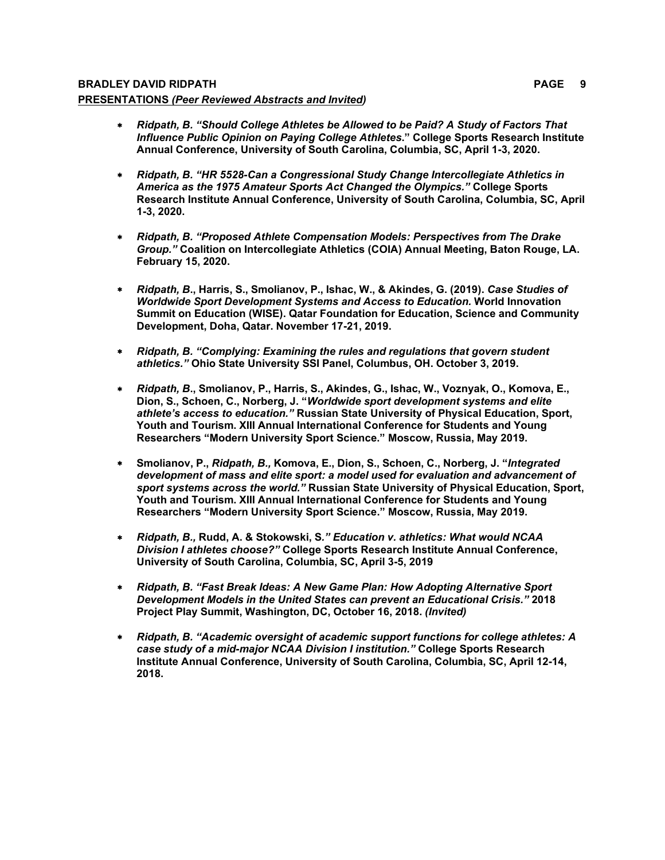## **BRADLEY DAVID RIDPATH PAGE 9 PRESENTATIONS** *(Peer Reviewed Abstracts and Invited)*

- \* *Ridpath, B. "Should College Athletes be Allowed to be Paid? A Study of Factors That Influence Public Opinion on Paying College Athletes***." College Sports Research Institute Annual Conference, University of South Carolina, Columbia, SC, April 1-3, 2020.**
- \* *Ridpath, B. "HR 5528-Can a Congressional Study Change Intercollegiate Athletics in America as the 1975 Amateur Sports Act Changed the Olympics."* **College Sports Research Institute Annual Conference, University of South Carolina, Columbia, SC, April 1-3, 2020.**
- \* *Ridpath, B. "Proposed Athlete Compensation Models: Perspectives from The Drake Group."* **Coalition on Intercollegiate Athletics (COIA) Annual Meeting, Baton Rouge, LA. February 15, 2020.**
- \* *Ridpath, B***., Harris, S., Smolianov, P., Ishac, W., & Akindes, G. (2019).** *Case Studies of Worldwide Sport Development Systems and Access to Education.* **World Innovation Summit on Education (WISE). Qatar Foundation for Education, Science and Community Development, Doha, Qatar. November 17-21, 2019.**
- \* *Ridpath, B. "Complying: Examining the rules and regulations that govern student athletics."* **Ohio State University SSI Panel, Columbus, OH. October 3, 2019.**
- \* *Ridpath, B***., Smolianov, P., Harris, S., Akindes, G., Ishac, W., Voznyak, O., Komova, E., Dion, S., Schoen, C., Norberg, J. "***Worldwide sport development systems and elite athlete's access to education."* **Russian State University of Physical Education, Sport, Youth and Tourism. XIII Annual International Conference for Students and Young Researchers "Modern University Sport Science." Moscow, Russia, May 2019.**
- \* **Smolianov, P.,** *Ridpath, B.,* **Komova, E., Dion, S., Schoen, C., Norberg, J. "***Integrated*  development of mass and elite sport: a model used for evaluation and advancement of *sport systems across the world."* **Russian State University of Physical Education, Sport, Youth and Tourism. XIII Annual International Conference for Students and Young Researchers "Modern University Sport Science." Moscow, Russia, May 2019.**
- \* *Ridpath, B.,* **Rudd, A. & Stokowski, S***." Education v. athletics: What would NCAA Division I athletes choose?"* **College Sports Research Institute Annual Conference, University of South Carolina, Columbia, SC, April 3-5, 2019**
- \* *Ridpath, B. "Fast Break Ideas: A New Game Plan: How Adopting Alternative Sport Development Models in the United States can prevent an Educational Crisis."* **2018 Project Play Summit, Washington, DC, October 16, 2018.** *(Invited)*
- \* *Ridpath, B. "Academic oversight of academic support functions for college athletes: A case study of a mid-major NCAA Division I institution."* **College Sports Research Institute Annual Conference, University of South Carolina, Columbia, SC, April 12-14, 2018.**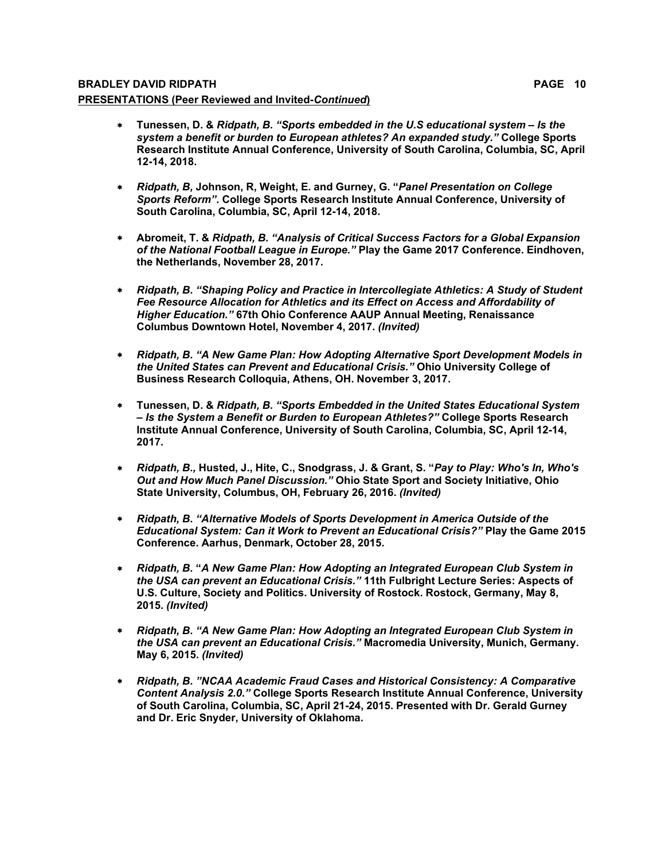# **BRADLEY DAVID RIDPATH PAGE 10 PRESENTATIONS (Peer Reviewed and Invited-***Continued***)**

- \* **Tunessen, D. &** *Ridpath, B. "Sports embedded in the U.S educational system – Is the system a benefit or burden to European athletes? An expanded study."* **College Sports Research Institute Annual Conference, University of South Carolina, Columbia, SC, April 12-14, 2018.**
- \* *Ridpath, B,* **Johnson, R, Weight, E. and Gurney, G. "***Panel Presentation on College Sports Reform".* **College Sports Research Institute Annual Conference, University of South Carolina, Columbia, SC, April 12-14, 2018.**
- \* **Abromeit, T. &** *Ridpath, B. "Analysis of Critical Success Factors for a Global Expansion of the National Football League in Europe."* **Play the Game 2017 Conference. Eindhoven, the Netherlands, November 28, 2017.**
- \* *Ridpath, B. "Shaping Policy and Practice in Intercollegiate Athletics: A Study of Student Fee Resource Allocation for Athletics and its Effect on Access and Affordability of Higher Education."* **67th Ohio Conference AAUP Annual Meeting, Renaissance Columbus Downtown Hotel, November 4, 2017.** *(Invited)*
- \* *Ridpath, B. "A New Game Plan: How Adopting Alternative Sport Development Models in the United States can Prevent and Educational Crisis."* **Ohio University College of Business Research Colloquia, Athens, OH. November 3, 2017.**
- \* **Tunessen, D. &** *Ridpath, B. "Sports Embedded in the United States Educational System – Is the System a Benefit or Burden to European Athletes?"* **College Sports Research Institute Annual Conference, University of South Carolina, Columbia, SC, April 12-14, 2017.**
- \* *Ridpath, B.,* **Husted, J., Hite, C., Snodgrass, J. & Grant, S. "***Pay to Play: Who's In, Who's Out and How Much Panel Discussion."* **Ohio State Sport and Society Initiative, Ohio State University, Columbus, OH, February 26, 2016.** *(Invited)*
- \* *Ridpath, B. "Alternative Models of Sports Development in America Outside of the Educational System: Can it Work to Prevent an Educational Crisis?"* **Play the Game 2015 Conference. Aarhus, Denmark, October 28, 2015.**
- \* *Ridpath, B.* **"***A New Game Plan: How Adopting an Integrated European Club System in the USA can prevent an Educational Crisis."* **11th Fulbright Lecture Series: Aspects of U.S. Culture, Society and Politics. University of Rostock. Rostock, Germany, May 8, 2015.** *(Invited)*
- \* *Ridpath, B. "A New Game Plan: How Adopting an Integrated European Club System in the USA can prevent an Educational Crisis."* **Macromedia University, Munich, Germany. May 6, 2015.** *(Invited)*
- \* *Ridpath, B. "NCAA Academic Fraud Cases and Historical Consistency: A Comparative Content Analysis 2.0."* **College Sports Research Institute Annual Conference, University of South Carolina, Columbia, SC, April 21-24, 2015. Presented with Dr. Gerald Gurney and Dr. Eric Snyder, University of Oklahoma.**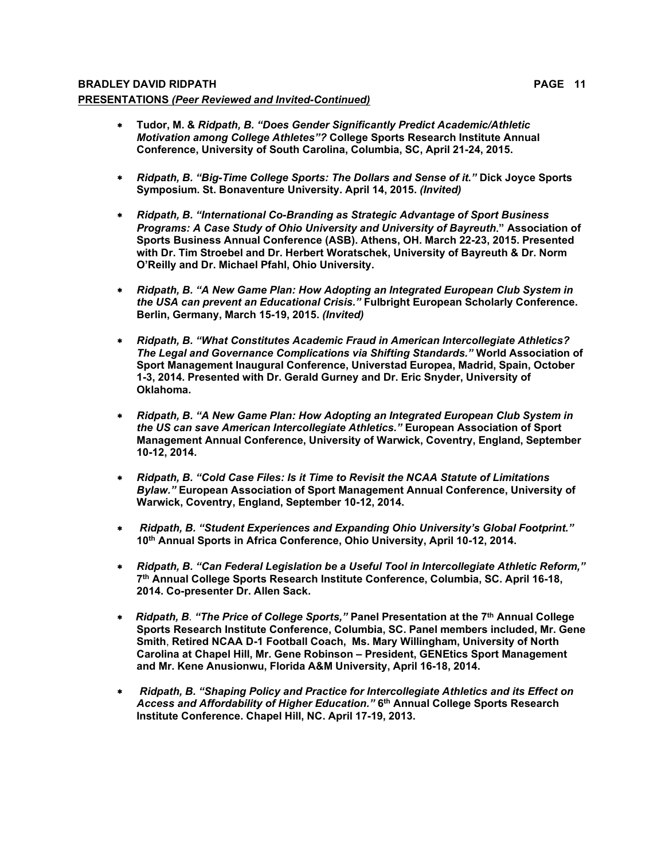- \* **Tudor, M. &** *Ridpath, B. "Does Gender Significantly Predict Academic/Athletic Motivation among College Athletes"?* **College Sports Research Institute Annual Conference, University of South Carolina, Columbia, SC, April 21-24, 2015.**
- \* *Ridpath, B. "Big-Time College Sports: The Dollars and Sense of it."* **Dick Joyce Sports Symposium. St. Bonaventure University. April 14, 2015.** *(Invited)*
- \* *Ridpath, B. "International Co-Branding as Strategic Advantage of Sport Business Programs: A Case Study of Ohio University and University of Bayreuth*.**" Association of Sports Business Annual Conference (ASB). Athens, OH. March 22-23, 2015. Presented with Dr. Tim Stroebel and Dr. Herbert Woratschek, University of Bayreuth & Dr. Norm O'Reilly and Dr. Michael Pfahl, Ohio University.**
- \* *Ridpath, B. "A New Game Plan: How Adopting an Integrated European Club System in the USA can prevent an Educational Crisis."* **Fulbright European Scholarly Conference. Berlin, Germany, March 15-19, 2015.** *(Invited)*
- \* *Ridpath, B. "What Constitutes Academic Fraud in American Intercollegiate Athletics? The Legal and Governance Complications via Shifting Standards."* **World Association of Sport Management Inaugural Conference, Universtad Europea, Madrid, Spain, October 1-3, 2014. Presented with Dr. Gerald Gurney and Dr. Eric Snyder, University of Oklahoma.**
- \* *Ridpath, B. "A New Game Plan: How Adopting an Integrated European Club System in the US can save American Intercollegiate Athletics."* **European Association of Sport Management Annual Conference, University of Warwick, Coventry, England, September 10-12, 2014.**
- \* *Ridpath, B. "Cold Case Files: Is it Time to Revisit the NCAA Statute of Limitations Bylaw."* **European Association of Sport Management Annual Conference, University of Warwick, Coventry, England, September 10-12, 2014.**
- \* *Ridpath, B. "Student Experiences and Expanding Ohio University's Global Footprint."* **10th Annual Sports in Africa Conference, Ohio University, April 10-12, 2014.**
- \* *Ridpath, B. "Can Federal Legislation be a Useful Tool in Intercollegiate Athletic Reform,"* **7th Annual College Sports Research Institute Conference, Columbia, SC. April 16-18, 2014. Co-presenter Dr. Allen Sack.**
- \* *Ridpath, B. "The Price of College Sports,"* **Panel Presentation at the 7th Annual College Sports Research Institute Conference, Columbia, SC. Panel members included, Mr. Gene Smith**, **Retired NCAA D-1 Football Coach, Ms. Mary Willingham, University of North Carolina at Chapel Hill, Mr. Gene Robinson – President, GENEtics Sport Management and Mr. Kene Anusionwu, Florida A&M University, April 16-18, 2014.**
- \* *Ridpath, B. "Shaping Policy and Practice for Intercollegiate Athletics and its Effect on Access and Affordability of Higher Education."* **6th Annual College Sports Research Institute Conference. Chapel Hill, NC. April 17-19, 2013.**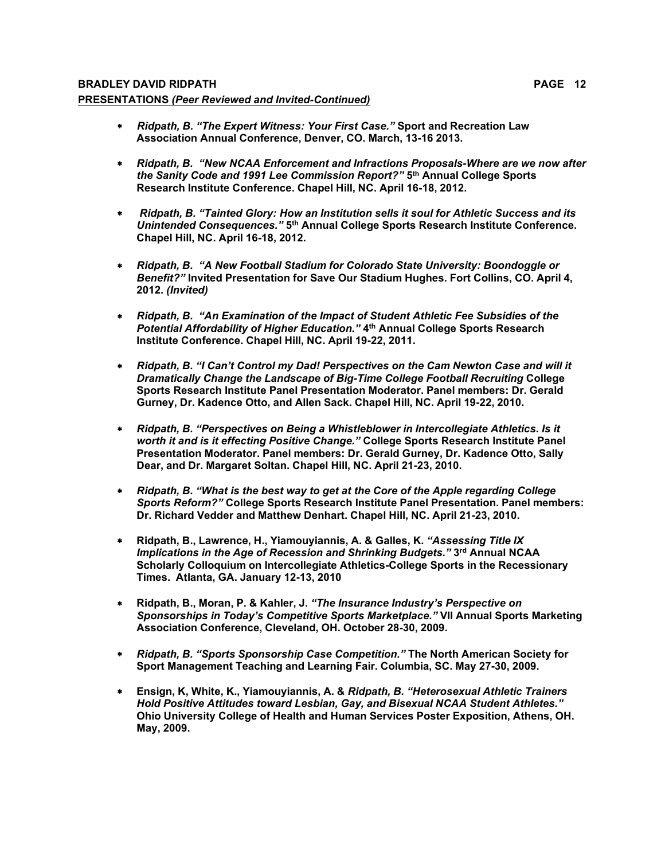- \**Ridpath, B. "The Expert Witness: Your First Case."* **Sport and Recreation Law Association Annual Conference, Denver, CO. March, 13-16 2013.**
- \* *Ridpath, B. "New NCAA Enforcement and Infractions Proposals-Where are we now after the Sanity Code and 1991 Lee Commission Report?"* **5th Annual College Sports Research Institute Conference. Chapel Hill, NC. April 16-18, 2012.**
- \* *Ridpath, B. "Tainted Glory: How an Institution sells it soul for Athletic Success and its Unintended Consequences."* **5th Annual College Sports Research Institute Conference. Chapel Hill, NC. April 16-18, 2012.**
- \* *Ridpath, B. "A New Football Stadium for Colorado State University: Boondoggle or Benefit?"* **Invited Presentation for Save Our Stadium Hughes. Fort Collins, CO. April 4, 2012.** *(Invited)*
- \* *Ridpath, B. "An Examination of the Impact of Student Athletic Fee Subsidies of the Potential Affordability of Higher Education."* **4th Annual College Sports Research Institute Conference. Chapel Hill, NC. April 19-22, 2011.**
- \* *Ridpath, B. "I Can't Control my Dad! Perspectives on the Cam Newton Case and will it Dramatically Change the Landscape of Big-Time College Football Recruiting* **College Sports Research Institute Panel Presentation Moderator. Panel members: Dr. Gerald Gurney, Dr. Kadence Otto, and Allen Sack. Chapel Hill, NC. April 19-22, 2010.**
- \* *Ridpath, B. "Perspectives on Being a Whistleblower in Intercollegiate Athletics. Is it worth it and is it effecting Positive Change."* **College Sports Research Institute Panel Presentation Moderator. Panel members: Dr. Gerald Gurney, Dr. Kadence Otto, Sally Dear, and Dr. Margaret Soltan. Chapel Hill, NC. April 21-23, 2010.**
- \* *Ridpath, B. "What is the best way to get at the Core of the Apple regarding College Sports Reform?"* **College Sports Research Institute Panel Presentation. Panel members: Dr. Richard Vedder and Matthew Denhart. Chapel Hill, NC. April 21-23, 2010.**
- \* **Ridpath, B., Lawrence, H., Yiamouyiannis, A. & Galles, K.** *"Assessing Title IX Implications in the Age of Recession and Shrinking Budgets."* **3rd Annual NCAA Scholarly Colloquium on Intercollegiate Athletics-College Sports in the Recessionary Times. Atlanta, GA. January 12-13, 2010**
- \* **Ridpath, B., Moran, P. & Kahler, J.** *"The Insurance Industry's Perspective on Sponsorships in Today's Competitive Sports Marketplace."* **VII Annual Sports Marketing Association Conference, Cleveland, OH. October 28-30, 2009.**
- \* *Ridpath, B. "Sports Sponsorship Case Competition."* **The North American Society for Sport Management Teaching and Learning Fair. Columbia, SC. May 27-30, 2009.**
- \* **Ensign, K, White, K., Yiamouyiannis, A. &** *Ridpath, B. "Heterosexual Athletic Trainers Hold Positive Attitudes toward Lesbian, Gay, and Bisexual NCAA Student Athletes."* **Ohio University College of Health and Human Services Poster Exposition, Athens, OH. May, 2009.**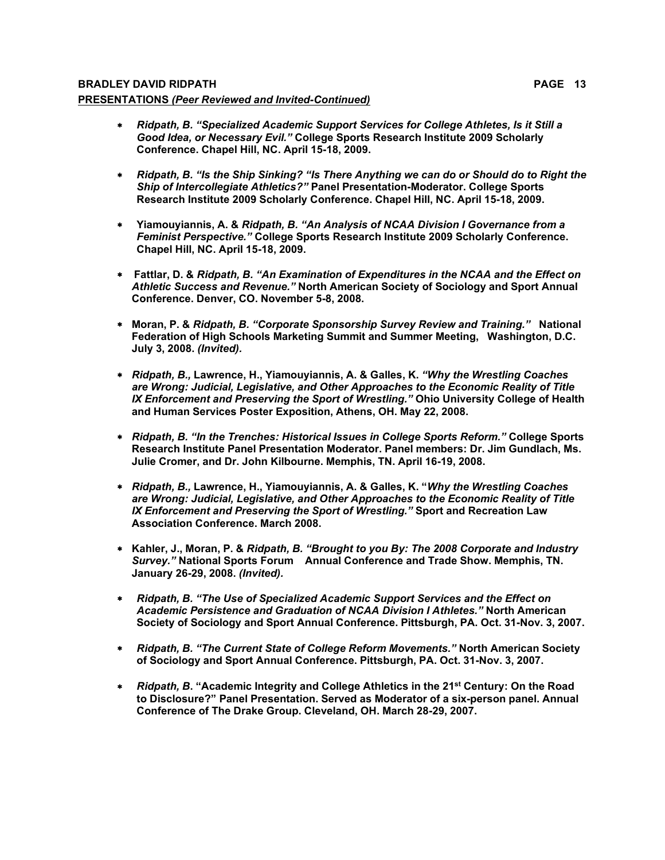# **BRADLEY DAVID RIDPATH PAGE 13 PRESENTATIONS** *(Peer Reviewed and Invited-Continued)*

- \* *Ridpath, B. "Specialized Academic Support Services for College Athletes, Is it Still a Good Idea, or Necessary Evil."* **College Sports Research Institute 2009 Scholarly Conference. Chapel Hill, NC. April 15-18, 2009.**
- \* *Ridpath, B. "Is the Ship Sinking? "Is There Anything we can do or Should do to Right the Ship of Intercollegiate Athletics?"* **Panel Presentation-Moderator. College Sports Research Institute 2009 Scholarly Conference. Chapel Hill, NC. April 15-18, 2009.**
- \* **Yiamouyiannis, A. &** *Ridpath, B. "An Analysis of NCAA Division I Governance from a Feminist Perspective."* **College Sports Research Institute 2009 Scholarly Conference. Chapel Hill, NC. April 15-18, 2009.**
- \* **Fattlar, D. &** *Ridpath, B. "An Examination of Expenditures in the NCAA and the Effect on Athletic Success and Revenue."* **North American Society of Sociology and Sport Annual Conference. Denver, CO. November 5-8, 2008.**
- \* **Moran, P. &** *Ridpath, B. "Corporate Sponsorship Survey Review and Training."* **National Federation of High Schools Marketing Summit and Summer Meeting, Washington, D.C. July 3, 2008.** *(Invited).*
- \* *Ridpath, B.,* **Lawrence, H., Yiamouyiannis, A. & Galles, K.** *"Why the Wrestling Coaches are Wrong: Judicial, Legislative, and Other Approaches to the Economic Reality of Title IX Enforcement and Preserving the Sport of Wrestling."* **Ohio University College of Health and Human Services Poster Exposition, Athens, OH. May 22, 2008.**
- \* *Ridpath, B. "In the Trenches: Historical Issues in College Sports Reform."* **College Sports Research Institute Panel Presentation Moderator. Panel members: Dr. Jim Gundlach, Ms. Julie Cromer, and Dr. John Kilbourne. Memphis, TN. April 16-19, 2008.**
- \* *Ridpath, B.,* **Lawrence, H., Yiamouyiannis, A. & Galles, K. "***Why the Wrestling Coaches are Wrong: Judicial, Legislative, and Other Approaches to the Economic Reality of Title IX Enforcement and Preserving the Sport of Wrestling."* **Sport and Recreation Law Association Conference. March 2008.**
- \* **Kahler, J., Moran, P. &** *Ridpath, B. "Brought to you By: The 2008 Corporate and Industry Survey."* **National Sports Forum Annual Conference and Trade Show. Memphis, TN. January 26-29, 2008.** *(Invited).*
- \* *Ridpath, B. "The Use of Specialized Academic Support Services and the Effect on Academic Persistence and Graduation of NCAA Division I Athletes."* **North American Society of Sociology and Sport Annual Conference. Pittsburgh, PA. Oct. 31-Nov. 3, 2007.**
- \* *Ridpath, B. "The Current State of College Reform Movements."* **North American Society of Sociology and Sport Annual Conference. Pittsburgh, PA. Oct. 31-Nov. 3, 2007.**
- \* *Ridpath, B***. "Academic Integrity and College Athletics in the 21st Century: On the Road to Disclosure?" Panel Presentation. Served as Moderator of a six-person panel. Annual Conference of The Drake Group. Cleveland, OH. March 28-29, 2007.**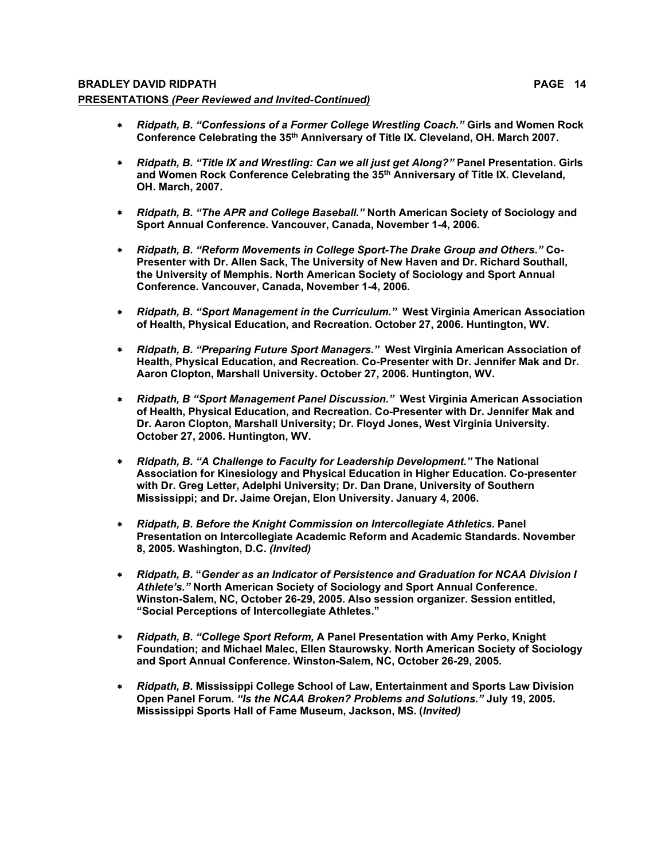# **BRADLEY DAVID RIDPATH PAGE 14 PRESENTATIONS** *(Peer Reviewed and Invited-Continued)*

- \* *Ridpath, B. "Confessions of a Former College Wrestling Coach."* **Girls and Women Rock Conference Celebrating the 35th Anniversary of Title IX. Cleveland, OH. March 2007.**
- \* *Ridpath, B. "Title IX and Wrestling: Can we all just get Along?"* **Panel Presentation. Girls and Women Rock Conference Celebrating the 35th Anniversary of Title IX. Cleveland, OH. March, 2007.**
- \* *Ridpath, B. "The APR and College Baseball."* **North American Society of Sociology and Sport Annual Conference. Vancouver, Canada, November 1-4, 2006.**
- \* *Ridpath, B. "Reform Movements in College Sport-The Drake Group and Others."* **Co-Presenter with Dr. Allen Sack, The University of New Haven and Dr. Richard Southall, the University of Memphis. North American Society of Sociology and Sport Annual Conference. Vancouver, Canada, November 1-4, 2006.**
- \* *Ridpath, B. "Sport Management in the Curriculum."* **West Virginia American Association of Health, Physical Education, and Recreation. October 27, 2006. Huntington, WV.**
- \* *Ridpath, B. "Preparing Future Sport Managers."* **West Virginia American Association of Health, Physical Education, and Recreation. Co-Presenter with Dr. Jennifer Mak and Dr. Aaron Clopton, Marshall University. October 27, 2006. Huntington, WV.**
- \* *Ridpath, B "Sport Management Panel Discussion."* **West Virginia American Association of Health, Physical Education, and Recreation. Co-Presenter with Dr. Jennifer Mak and Dr. Aaron Clopton, Marshall University; Dr. Floyd Jones, West Virginia University. October 27, 2006. Huntington, WV.**
- \* *Ridpath, B. "A Challenge to Faculty for Leadership Development."* **The National Association for Kinesiology and Physical Education in Higher Education. Co-presenter with Dr. Greg Letter, Adelphi University; Dr. Dan Drane, University of Southern Mississippi; and Dr. Jaime Orejan, Elon University. January 4, 2006.**
- \* *Ridpath, B. Before the Knight Commission on Intercollegiate Athletics***. Panel Presentation on Intercollegiate Academic Reform and Academic Standards. November 8, 2005. Washington, D.C.** *(Invited)*
- \* *Ridpath, B.* **"***Gender as an Indicator of Persistence and Graduation for NCAA Division I Athlete's."* **North American Society of Sociology and Sport Annual Conference. Winston-Salem, NC, October 26-29, 2005. Also session organizer. Session entitled, "Social Perceptions of Intercollegiate Athletes."**
- \* *Ridpath, B. "College Sport Reform,* **A Panel Presentation with Amy Perko, Knight Foundation; and Michael Malec, Ellen Staurowsky. North American Society of Sociology and Sport Annual Conference. Winston-Salem, NC, October 26-29, 2005.**
- \* *Ridpath, B.* **Mississippi College School of Law, Entertainment and Sports Law Division Open Panel Forum.** *"Is the NCAA Broken? Problems and Solutions."* **July 19, 2005. Mississippi Sports Hall of Fame Museum, Jackson, MS. (***Invited)*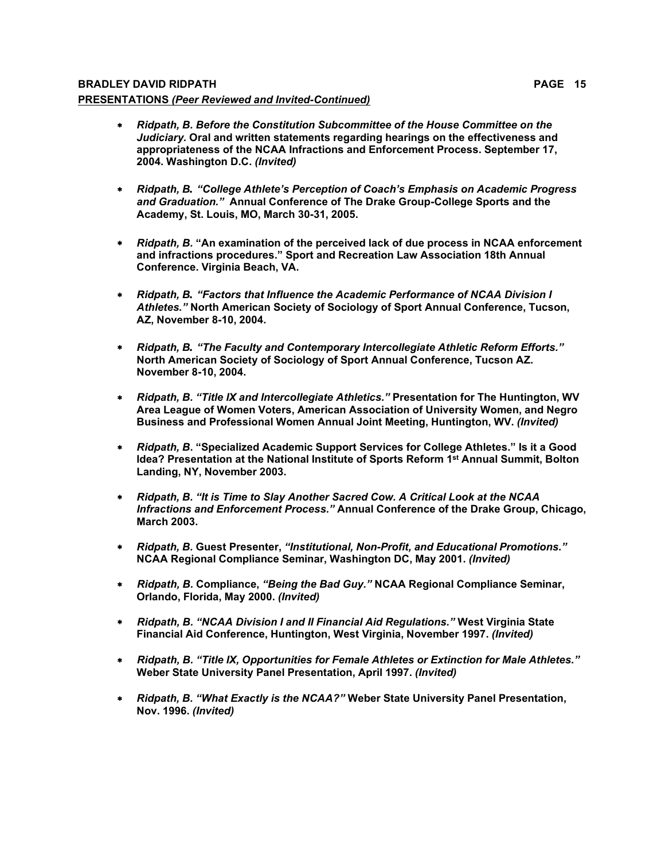# **BRADLEY DAVID RIDPATH PAGE 15 PRESENTATIONS** *(Peer Reviewed and Invited-Continued)*

- \* *Ridpath, B. Before the Constitution Subcommittee of the House Committee on the Judiciary.* **Oral and written statements regarding hearings on the effectiveness and appropriateness of the NCAA Infractions and Enforcement Process. September 17, 2004. Washington D.C.** *(Invited)*
- \* *Ridpath, B. "College Athlete's Perception of Coach's Emphasis on Academic Progress and Graduation."* **Annual Conference of The Drake Group-College Sports and the Academy, St. Louis, MO, March 30-31, 2005.**
- \* *Ridpath, B.* **"An examination of the perceived lack of due process in NCAA enforcement and infractions procedures." Sport and Recreation Law Association 18th Annual Conference. Virginia Beach, VA.**
- \* *Ridpath, B. "Factors that Influence the Academic Performance of NCAA Division I Athletes."* **North American Society of Sociology of Sport Annual Conference, Tucson, AZ, November 8-10, 2004.**
- \* *Ridpath, B. "The Faculty and Contemporary Intercollegiate Athletic Reform Efforts."* **North American Society of Sociology of Sport Annual Conference, Tucson AZ. November 8-10, 2004.**
- \* *Ridpath, B. "Title IX and Intercollegiate Athletics."* **Presentation for The Huntington, WV Area League of Women Voters, American Association of University Women, and Negro Business and Professional Women Annual Joint Meeting, Huntington, WV.** *(Invited)*
- \* *Ridpath, B***. "Specialized Academic Support Services for College Athletes." Is it a Good Idea? Presentation at the National Institute of Sports Reform 1st Annual Summit, Bolton Landing, NY, November 2003.**
- \* *Ridpath, B. "It is Time to Slay Another Sacred Cow. A Critical Look at the NCAA Infractions and Enforcement Process."* **Annual Conference of the Drake Group, Chicago, March 2003.**
- \* *Ridpath, B.* **Guest Presenter,** *"Institutional, Non-Profit, and Educational Promotions."* **NCAA Regional Compliance Seminar, Washington DC, May 2001.** *(Invited)*
- \* *Ridpath, B.* **Compliance,** *"Being the Bad Guy."* **NCAA Regional Compliance Seminar, Orlando, Florida, May 2000.** *(Invited)*
- \* *Ridpath, B. "NCAA Division I and II Financial Aid Regulations."* **West Virginia State Financial Aid Conference, Huntington, West Virginia, November 1997.** *(Invited)*
- \* *Ridpath, B. "Title IX, Opportunities for Female Athletes or Extinction for Male Athletes."* **Weber State University Panel Presentation, April 1997.** *(Invited)*
- \* *Ridpath, B. "What Exactly is the NCAA?"* **Weber State University Panel Presentation, Nov. 1996.** *(Invited)*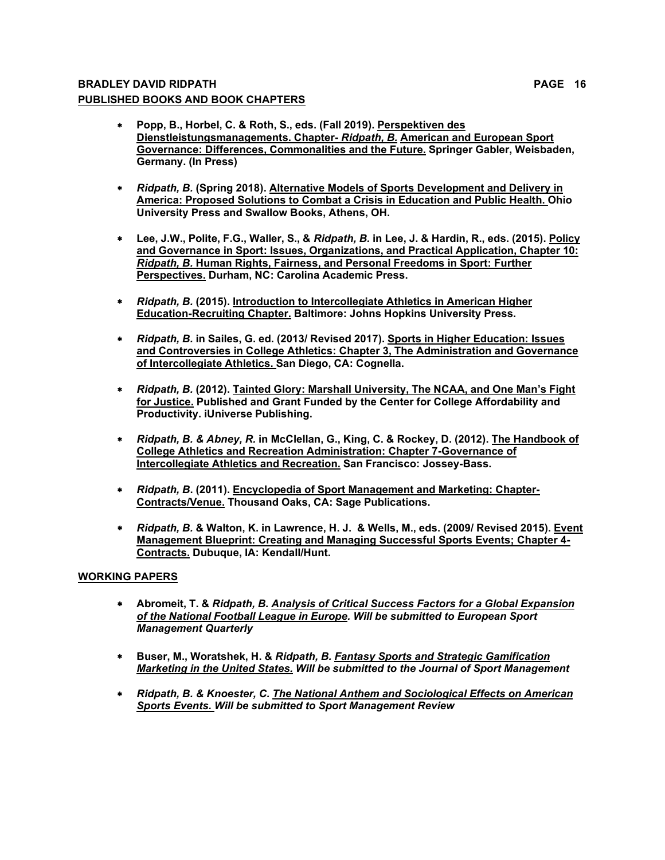# **BRADLEY DAVID RIDPATH PAGE 16 PUBLISHED BOOKS AND BOOK CHAPTERS**

- \* **Popp, B., Horbel, C. & Roth, S., eds. (Fall 2019). Perspektiven des Dienstleistungsmanagements. Chapter-** *Ridpath, B.* **American and European Sport Governance: Differences, Commonalities and the Future. Springer Gabler, Weisbaden, Germany. (In Press)**
- \* *Ridpath, B.* **(Spring 2018). Alternative Models of Sports Development and Delivery in America: Proposed Solutions to Combat a Crisis in Education and Public Health. Ohio University Press and Swallow Books, Athens, OH.**
- \* **Lee, J.W., Polite, F.G., Waller, S., &** *Ridpath, B.* **in Lee, J. & Hardin, R., eds. (2015). Policy and Governance in Sport: Issues, Organizations, and Practical Application, Chapter 10:**  *Ridpath, B.* **Human Rights, Fairness, and Personal Freedoms in Sport: Further Perspectives. Durham, NC: Carolina Academic Press.**
- \* *Ridpath, B.* **(2015). Introduction to Intercollegiate Athletics in American Higher Education-Recruiting Chapter. Baltimore: Johns Hopkins University Press.**
- \* *Ridpath, B.* **in Sailes, G. ed. (2013/ Revised 2017). Sports in Higher Education: Issues and Controversies in College Athletics: Chapter 3, The Administration and Governance of Intercollegiate Athletics. San Diego, CA: Cognella.**
- \* *Ridpath, B.* **(2012). Tainted Glory: Marshall University, The NCAA, and One Man's Fight for Justice. Published and Grant Funded by the Center for College Affordability and Productivity. iUniverse Publishing.**
- \* *Ridpath, B. & Abney, R.* **in McClellan, G., King, C. & Rockey, D. (2012). The Handbook of College Athletics and Recreation Administration: Chapter 7-Governance of Intercollegiate Athletics and Recreation. San Francisco: Jossey-Bass.**
- \* *Ridpath, B***. (2011). Encyclopedia of Sport Management and Marketing: Chapter-Contracts/Venue. Thousand Oaks, CA: Sage Publications.**
- \* *Ridpath, B.* **& Walton, K. in Lawrence, H. J. & Wells, M., eds. (2009/ Revised 2015). Event Management Blueprint: Creating and Managing Successful Sports Events; Chapter 4- Contracts. Dubuque, IA: Kendall/Hunt.**

# **WORKING PAPERS**

- \* **Abromeit, T. &** *Ridpath, B. Analysis of Critical Success Factors for a Global Expansion of the National Football League in Europe. Will be submitted to European Sport Management Quarterly*
- \* **Buser, M., Woratshek, H. &** *Ridpath, B. Fantasy Sports and Strategic Gamification Marketing in the United States. Will be submitted to the Journal of Sport Management*
- \* *Ridpath, B. & Knoester, C. The National Anthem and Sociological Effects on American Sports Events. Will be submitted to Sport Management Review*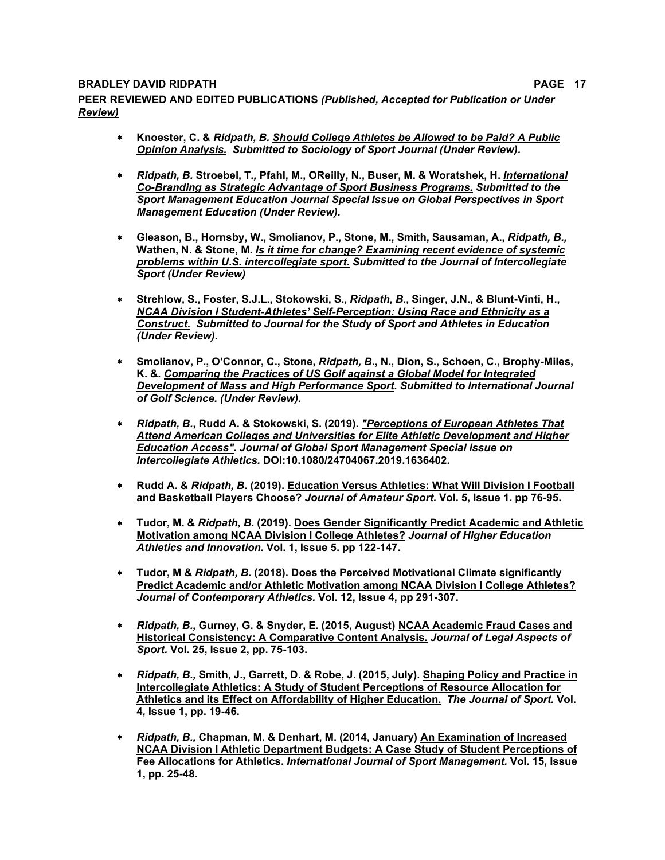#### **BRADLEY DAVID RIDPATH PAGE 17**

**PEER REVIEWED AND EDITED PUBLICATIONS** *(Published, Accepted for Publication or Under Review)*

- \* **Knoester, C. &** *Ridpath, B. Should College Athletes be Allowed to be Paid? A Public Opinion Analysis. Submitted to Sociology of Sport Journal (Under Review).*
- \* *Ridpath, B.* **Stroebel, T***.,* **Pfahl, M., OReilly, N., Buser, M. & Woratshek, H.** *International Co-Branding as Strategic Advantage of Sport Business Programs. Submitted to the Sport Management Education Journal Special Issue on Global Perspectives in Sport Management Education (Under Review).*
- \* **Gleason, B., Hornsby, W., Smolianov, P., Stone, M., Smith, Sausaman, A.,** *Ridpath, B.,* **Wathen, N. & Stone, M.** *Is it time for change? Examining recent evidence of systemic problems within U.S. intercollegiate sport. Submitted to the Journal of Intercollegiate Sport (Under Review)*
- \* **Strehlow, S., Foster, S.J.L., Stokowski, S.,** *Ridpath, B.***, Singer, J.N., & Blunt-Vinti, H.,**  *NCAA Division I Student-Athletes' Self-Perception: Using Race and Ethnicity as a Construct. Submitted to Journal for the Study of Sport and Athletes in Education (Under Review).*
- \* **Smolianov, P., O'Connor, C., Stone,** *Ridpath, B***., N., Dion, S., Schoen, C., Brophy-Miles, K. &***. Comparing the Practices of US Golf against a Global Model for Integrated Development of Mass and High Performance Sport. Submitted to International Journal of Golf Science. (Under Review).*
- \* *Ridpath, B.***, Rudd A. & Stokowski, S. (2019).** *"Perceptions of European Athletes That Attend American Colleges and Universities for Elite Athletic Development and Higher Education Access". Journal of Global Sport Management Special Issue on Intercollegiate Athletics.* **DOI:10.1080/24704067.2019.1636402.**
- \* **Rudd A. &** *Ridpath, B.* **(2019). Education Versus Athletics: What Will Division I Football and Basketball Players Choose?** *Journal of Amateur Sport.* **Vol. 5, Issue 1. pp 76-95.**
- \* **Tudor, M. &** *Ridpath, B***. (2019). Does Gender Significantly Predict Academic and Athletic Motivation among NCAA Division I College Athletes?** *Journal of Higher Education Athletics and Innovation.* **Vol. 1, Issue 5. pp 122-147.**
- \* **Tudor, M &** *Ridpath, B.* **(2018). Does the Perceived Motivational Climate significantly Predict Academic and/or Athletic Motivation among NCAA Division I College Athletes?** *Journal of Contemporary Athletics.* **Vol. 12, Issue 4, pp 291-307.**
- \* *Ridpath, B.,* **Gurney, G. & Snyder, E. (2015, August) NCAA Academic Fraud Cases and Historical Consistency: A Comparative Content Analysis.** *Journal of Legal Aspects of Sport.* **Vol. 25, Issue 2, pp. 75-103.**
- \* *Ridpath, B.,* **Smith, J., Garrett, D. & Robe, J. (2015, July). Shaping Policy and Practice in Intercollegiate Athletics: A Study of Student Perceptions of Resource Allocation for Athletics and its Effect on Affordability of Higher Education.** *The Journal of Sport.* **Vol. 4***,* **Issue 1, pp. 19-46.**
- \* *Ridpath, B.,* **Chapman, M. & Denhart, M. (2014, January) An Examination of Increased NCAA Division I Athletic Department Budgets: A Case Study of Student Perceptions of Fee Allocations for Athletics.** *International Journal of Sport Management.* **Vol. 15, Issue 1, pp. 25-48.**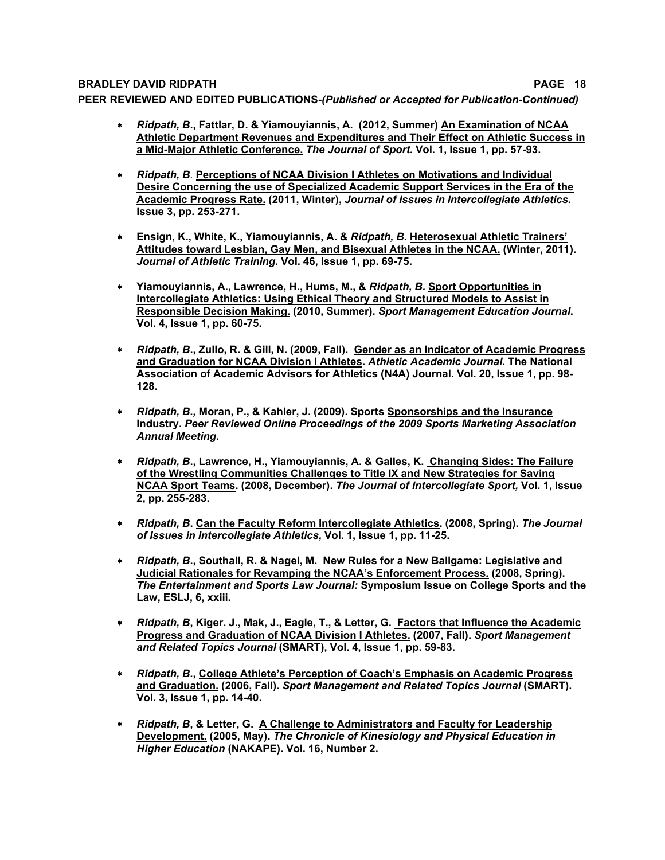- \* *Ridpath, B***., Fattlar, D. & Yiamouyiannis, A. (2012, Summer) An Examination of NCAA Athletic Department Revenues and Expenditures and Their Effect on Athletic Success in a Mid-Major Athletic Conference.** *The Journal of Sport.* **Vol. 1, Issue 1, pp. 57-93.**
- \* *Ridpath, B.* **Perceptions of NCAA Division I Athletes on Motivations and Individual Desire Concerning the use of Specialized Academic Support Services in the Era of the Academic Progress Rate. (2011, Winter),** *Journal of Issues in Intercollegiate Athletics.*  **Issue 3, pp. 253-271.**
- \* **Ensign, K., White, K., Yiamouyiannis, A. &** *Ridpath, B.* **Heterosexual Athletic Trainers' Attitudes toward Lesbian, Gay Men, and Bisexual Athletes in the NCAA. (Winter, 2011).**  *Journal of Athletic Training***. Vol. 46, Issue 1, pp. 69-75.**
- \* **Yiamouyiannis, A., Lawrence, H., Hums, M., &** *Ridpath, B.* **Sport Opportunities in Intercollegiate Athletics: Using Ethical Theory and Structured Models to Assist in Responsible Decision Making. (2010, Summer).** *Sport Management Education Journal***. Vol. 4, Issue 1, pp. 60-75.**
- \* *Ridpath, B***., Zullo, R. & Gill, N. (2009, Fall). Gender as an Indicator of Academic Progress and Graduation for NCAA Division I Athletes.** *Athletic Academic Journal.* **The National Association of Academic Advisors for Athletics (N4A) Journal. Vol. 20, Issue 1, pp. 98- 128.**
- \* *Ridpath, B.,* **Moran, P., & Kahler, J. (2009). Sports Sponsorships and the Insurance Industry.** *Peer Reviewed Online Proceedings of the 2009 Sports Marketing Association Annual Meeting***.**
- \* *Ridpath, B***., Lawrence, H., Yiamouyiannis, A. & Galles, K. Changing Sides: The Failure of the Wrestling Communities Challenges to Title IX and New Strategies for Saving NCAA Sport Teams. (2008, December).** *The Journal of Intercollegiate Sport,* **Vol. 1, Issue 2, pp. 255-283.**
- \* *Ridpath, B***. Can the Faculty Reform Intercollegiate Athletics. (2008, Spring).** *The Journal of Issues in Intercollegiate Athletics,* **Vol. 1, Issue 1, pp. 11-25.**
- \* *Ridpath, B***., Southall, R. & Nagel, M. New Rules for a New Ballgame: Legislative and Judicial Rationales for Revamping the NCAA's Enforcement Process***.* **(2008, Spring).** *The Entertainment and Sports Law Journal:* **Symposium Issue on College Sports and the Law, ESLJ, 6, xxiii.**
- \* *Ridpath, B***, Kiger. J., Mak, J., Eagle, T., & Letter, G. Factors that Influence the Academic Progress and Graduation of NCAA Division I Athletes. (2007, Fall).** *Sport Management and Related Topics Journal* **(SMART), Vol. 4, Issue 1, pp. 59-83.**
- \* *Ridpath, B.***, College Athlete's Perception of Coach's Emphasis on Academic Progress and Graduation. (2006, Fall).** *Sport Management and Related Topics Journal* **(SMART). Vol. 3, Issue 1, pp. 14-40.**
- \* *Ridpath, B***, & Letter, G. A Challenge to Administrators and Faculty for Leadership Development. (2005, May).** *The Chronicle of Kinesiology and Physical Education in Higher Education* **(NAKAPE). Vol. 16, Number 2.**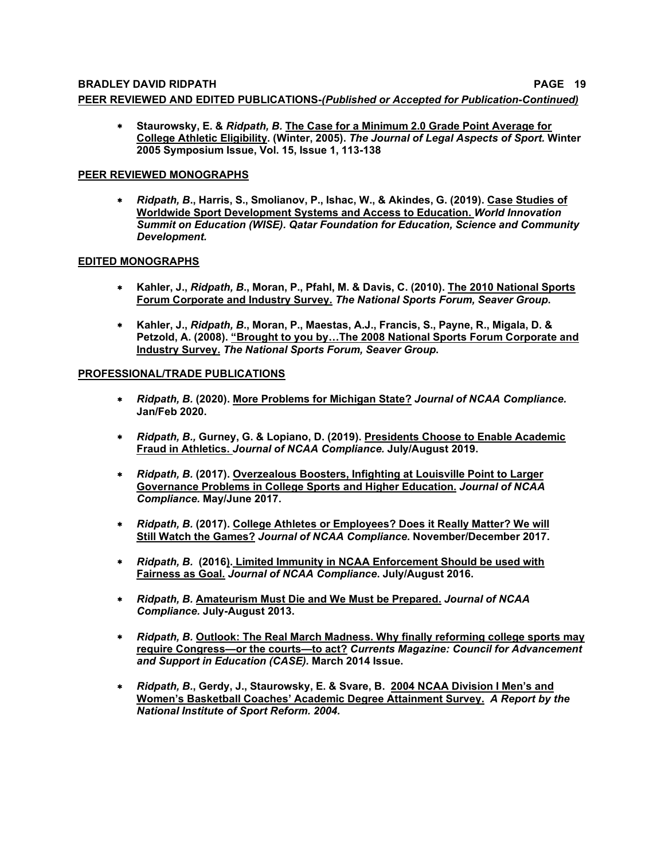\* **Staurowsky, E. &** *Ridpath, B.* **The Case for a Minimum 2.0 Grade Point Average for College Athletic Eligibility. (Winter, 2005).** *The Journal of Legal Aspects of Sport.* **Winter 2005 Symposium Issue, Vol. 15, Issue 1, 113-138** 

#### **PEER REVIEWED MONOGRAPHS**

\* *Ridpath, B***., Harris, S., Smolianov, P., Ishac, W., & Akindes, G. (2019). Case Studies of Worldwide Sport Development Systems and Access to Education.** *World Innovation Summit on Education (WISE). Qatar Foundation for Education, Science and Community Development.*

## **EDITED MONOGRAPHS**

- \* **Kahler, J.,** *Ridpath, B***., Moran, P., Pfahl, M. & Davis, C. (2010). The 2010 National Sports Forum Corporate and Industry Survey.** *The National Sports Forum, Seaver Group***.**
- \* **Kahler, J.,** *Ridpath, B***., Moran, P., Maestas, A.J., Francis, S., Payne, R., Migala, D. & Petzold, A. (2008). "Brought to you by…The 2008 National Sports Forum Corporate and Industry Survey.** *The National Sports Forum, Seaver Group***.**

## **PROFESSIONAL/TRADE PUBLICATIONS**

- \* *Ridpath, B.* **(2020). More Problems for Michigan State?** *Journal of NCAA Compliance.*  **Jan/Feb 2020.**
- \* *Ridpath, B.,* **Gurney, G. & Lopiano, D. (2019). Presidents Choose to Enable Academic Fraud in Athletics.** *Journal of NCAA Compliance.* **July/August 2019.**
- \* *Ridpath, B.* **(2017). Overzealous Boosters, Infighting at Louisville Point to Larger Governance Problems in College Sports and Higher Education.** *Journal of NCAA Compliance.* **May/June 2017.**
- \* *Ridpath, B.* **(2017). College Athletes or Employees? Does it Really Matter? We will Still Watch the Games?** *Journal of NCAA Compliance.* **November/December 2017.**
- \* *Ridpath, B.* **(2016). Limited Immunity in NCAA Enforcement Should be used with Fairness as Goal.** *Journal of NCAA Compliance***. July/August 2016.**
- \* *Ridpath, B.* **Amateurism Must Die and We Must be Prepared.** *Journal of NCAA Compliance.* **July-August 2013.**
- \* *Ridpath, B.* **Outlook: The Real March Madness. Why finally reforming college sports may require Congress—or the courts—to act?** *Currents Magazine: Council for Advancement and Support in Education (CASE).* **March 2014 Issue.**
- \* *Ridpath, B.***, Gerdy, J., Staurowsky, E. & Svare, B. 2004 NCAA Division I Men's and Women's Basketball Coaches' Academic Degree Attainment Survey.** *A Report by the National Institute of Sport Reform. 2004.*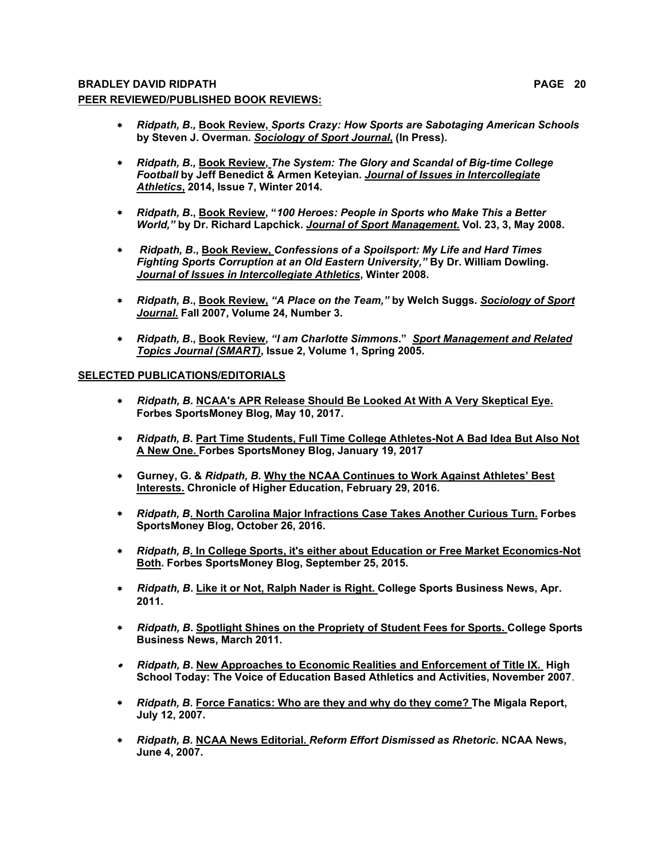## **BRADLEY DAVID RIDPATH PAGE 20 PEER REVIEWED/PUBLISHED BOOK REVIEWS:**

- \* *Ridpath, B.,* **Book Review,** *Sports Crazy: How Sports are Sabotaging American Schools* **by Steven J. Overman***. Sociology of Sport Journal***, (In Press).**
- \* *Ridpath, B.,* **Book Review,** *The System: The Glory and Scandal of Big-time College Football* **by Jeff Benedict & Armen Keteyian***. Journal of Issues in Intercollegiate Athletics***, 2014, Issue 7, Winter 2014.**
- \* *Ridpath, B***., Book Review, "***100 Heroes: People in Sports who Make This a Better World,"* **by Dr. Richard Lapchick.** *Journal of Sport Management.* **Vol. 23, 3, May 2008.**
- \* *Ridpath, B***., Book Review,** *Confessions of a Spoilsport: My Life and Hard Times Fighting Sports Corruption at an Old Eastern University,"* **By Dr. William Dowling.**  *Journal of Issues in Intercollegiate Athletics***, Winter 2008.**
- \* *Ridpath, B***., Book Review,** *"A Place on the Team,"* **by Welch Suggs***. Sociology of Sport Journal***. Fall 2007, Volume 24, Number 3.**
- \* *Ridpath, B***., Book Review,** *"I am Charlotte Simmons***."** *Sport Management and Related Topics Journal (SMART)***, Issue 2, Volume 1, Spring 2005.**

#### **SELECTED PUBLICATIONS/EDITORIALS**

- \* *Ridpath, B.* **NCAA's APR Release Should Be Looked At With A Very Skeptical Eye.** **Forbes SportsMoney Blog, May 10, 2017.**
- \* *Ridpath, B.* **Part Time Students, Full Time College Athletes-Not A Bad Idea But Also Not A New One. Forbes SportsMoney Blog, January 19, 2017**
- \* **Gurney, G. &** *Ridpath, B.* **Why the NCAA Continues to Work Against Athletes' Best Interests. Chronicle of Higher Education, February 29, 2016.**
- \* *Ridpath, B.* **North Carolina Major Infractions Case Takes Another Curious Turn. Forbes SportsMoney Blog, October 26, 2016.**
- \* *Ridpath, B.* **In College Sports, it's either about Education or Free Market Economics-Not Both. Forbes SportsMoney Blog, September 25, 2015.**
- \* *Ridpath, B***. Like it or Not, Ralph Nader is Right. College Sports Business News, Apr. 2011.**
- \* *Ridpath, B***. Spotlight Shines on the Propriety of Student Fees for Sports. College Sports Business News, March 2011.**
- *Ridpath, B***. New Approaches to Economic Realities and Enforcement of Title IX. High School Today: The Voice of Education Based Athletics and Activities, November 2007**.
- \* *Ridpath, B.* **Force Fanatics: Who are they and why do they come? The Migala Report, July 12, 2007.**
- \* *Ridpath, B.* **NCAA News Editorial.** *Reform Effort Dismissed as Rhetoric.* **NCAA News, June 4, 2007.**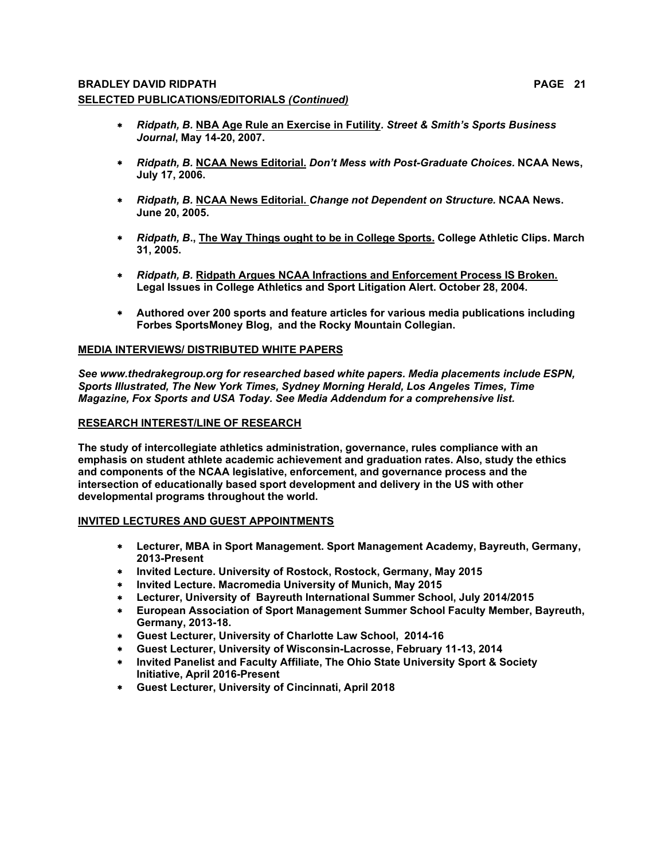# **BRADLEY DAVID RIDPATH PAGE 21 SELECTED PUBLICATIONS/EDITORIALS** *(Continued)*

- \* *Ridpath, B.* **NBA Age Rule an Exercise in Futility***. Street & Smith's Sports Business Journal***, May 14-20, 2007.**
- \* *Ridpath, B.* **NCAA News Editorial.** *Don't Mess with Post-Graduate Choices.* **NCAA News, July 17, 2006.**
- \* *Ridpath, B.* **NCAA News Editorial.** *Change not Dependent on Structure.* **NCAA News. June 20, 2005.**
- \* *Ridpath, B***., The Way Things ought to be in College Sports. College Athletic Clips. March 31, 2005.**
- \* *Ridpath, B.* **Ridpath Argues NCAA Infractions and Enforcement Process IS Broken. Legal Issues in College Athletics and Sport Litigation Alert. October 28, 2004.**
- \* **Authored over 200 sports and feature articles for various media publications including Forbes SportsMoney Blog, and the Rocky Mountain Collegian.**

#### **MEDIA INTERVIEWS/ DISTRIBUTED WHITE PAPERS**

*See www.thedrakegroup.org for researched based white papers. Media placements include ESPN, Sports Illustrated, The New York Times, Sydney Morning Herald, Los Angeles Times, Time Magazine, Fox Sports and USA Today. See Media Addendum for a comprehensive list.*

#### **RESEARCH INTEREST/LINE OF RESEARCH**

**The study of intercollegiate athletics administration, governance, rules compliance with an emphasis on student athlete academic achievement and graduation rates. Also, study the ethics and components of the NCAA legislative, enforcement, and governance process and the intersection of educationally based sport development and delivery in the US with other developmental programs throughout the world.**

#### **INVITED LECTURES AND GUEST APPOINTMENTS**

- \* **Lecturer, MBA in Sport Management. Sport Management Academy, Bayreuth, Germany, 2013-Present**
- \* **Invited Lecture. University of Rostock, Rostock, Germany, May 2015**
- \* **Invited Lecture. Macromedia University of Munich, May 2015**
- \* **Lecturer, University of Bayreuth International Summer School, July 2014/2015**
- \* **European Association of Sport Management Summer School Faculty Member, Bayreuth, Germany, 2013-18.**
- \* **Guest Lecturer, University of Charlotte Law School, 2014-16**
- \* **Guest Lecturer, University of Wisconsin-Lacrosse, February 11-13, 2014**
- \* **Invited Panelist and Faculty Affiliate, The Ohio State University Sport & Society Initiative, April 2016-Present**
- \* **Guest Lecturer, University of Cincinnati, April 2018**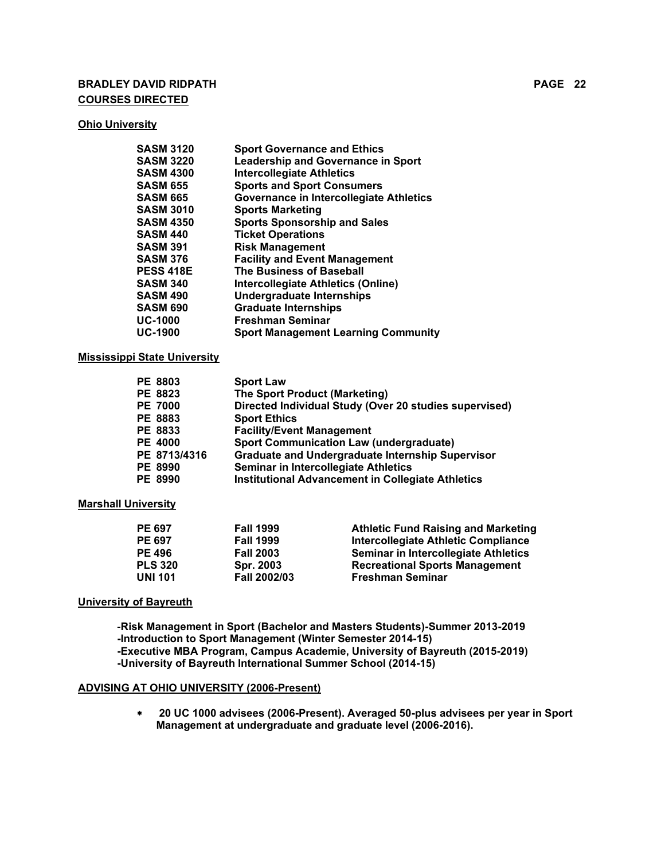# **BRADLEY DAVID RIDPATH PAGE 22 COURSES DIRECTED**

#### **Ohio University**

| <b>SASM 3120</b> | <b>Sport Governance and Ethics</b>             |
|------------------|------------------------------------------------|
| <b>SASM 3220</b> | <b>Leadership and Governance in Sport</b>      |
| SASM 4300        | <b>Intercollegiate Athletics</b>               |
| SASM 655         | <b>Sports and Sport Consumers</b>              |
| SASM 665         | <b>Governance in Intercollegiate Athletics</b> |
| SASM 3010        | <b>Sports Marketing</b>                        |
| SASM 4350        | <b>Sports Sponsorship and Sales</b>            |
| <b>SASM 440</b>  | <b>Ticket Operations</b>                       |
| SASM 391         | <b>Risk Management</b>                         |
| SASM 376         | <b>Facility and Event Management</b>           |
| <b>PESS 418E</b> | <b>The Business of Baseball</b>                |
| SASM 340         | Intercollegiate Athletics (Online)             |
| SASM 490         | Undergraduate Internships                      |
| <b>SASM 690</b>  | <b>Graduate Internships</b>                    |
| <b>UC-1000</b>   | <b>Freshman Seminar</b>                        |
| <b>UC-1900</b>   | <b>Sport Management Learning Community</b>     |

#### **Mississippi State University**

| <b>PE 8803</b> | <b>Sport Law</b>                                         |
|----------------|----------------------------------------------------------|
| PE 8823        | <b>The Sport Product (Marketing)</b>                     |
| <b>PE 7000</b> | Directed Individual Study (Over 20 studies supervised)   |
| PE 8883        | <b>Sport Ethics</b>                                      |
| PE 8833        | <b>Facility/Event Management</b>                         |
| <b>PE 4000</b> | <b>Sport Communication Law (undergraduate)</b>           |
| PE 8713/4316   | <b>Graduate and Undergraduate Internship Supervisor</b>  |
| <b>PE 8990</b> | <b>Seminar in Intercollegiate Athletics</b>              |
| PE 8990        | <b>Institutional Advancement in Collegiate Athletics</b> |

#### **Marshall University**

| <b>PE 697</b>  | <b>Fall 1999</b> | <b>Athletic Fund Raising and Marketing</b> |
|----------------|------------------|--------------------------------------------|
| <b>PE 697</b>  | <b>Fall 1999</b> | Intercollegiate Athletic Compliance        |
| <b>PE 496</b>  | <b>Fall 2003</b> | Seminar in Intercollegiate Athletics       |
| <b>PLS 320</b> | <b>Spr. 2003</b> | <b>Recreational Sports Management</b>      |
| <b>UNI 101</b> | Fall 2002/03     | <b>Freshman Seminar</b>                    |
|                |                  |                                            |

#### **University of Bayreuth**

-**Risk Management in Sport (Bachelor and Masters Students)-Summer 2013-2019 -Introduction to Sport Management (Winter Semester 2014-15) -Executive MBA Program, Campus Academie, University of Bayreuth (2015-2019) -University of Bayreuth International Summer School (2014-15)**

#### **ADVISING AT OHIO UNIVERSITY (2006-Present)**

\* **20 UC 1000 advisees (2006-Present). Averaged 50-plus advisees per year in Sport Management at undergraduate and graduate level (2006-2016).**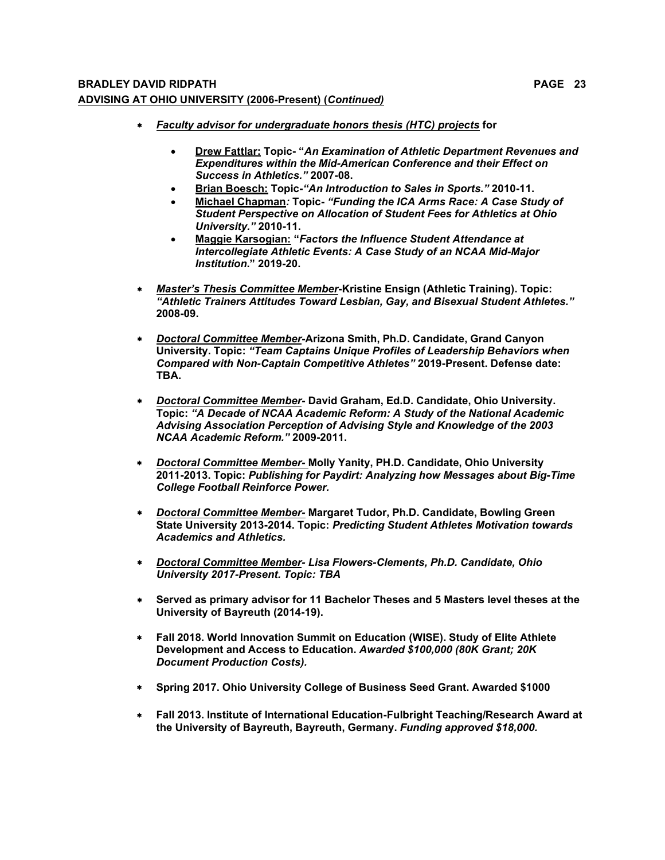# **BRADLEY DAVID RIDPATH PAGE 23 ADVISING AT OHIO UNIVERSITY (2006-Present) (***Continued)*

- \* *Faculty advisor for undergraduate honors thesis (HTC) projects* **for** 
	- **Drew Fattlar: Topic- "***An Examination of Athletic Department Revenues and Expenditures within the Mid-American Conference and their Effect on Success in Athletics."* **2007-08.**
	- **Brian Boesch: Topic-***"An Introduction to Sales in Sports."* **2010-11.**
	- **Michael Chapman***:* **Topic-** *"Funding the ICA Arms Race: A Case Study of Student Perspective on Allocation of Student Fees for Athletics at Ohio University."* **2010-11.**
	- **Maggie Karsogian: "***Factors the Influence Student Attendance at Intercollegiate Athletic Events: A Case Study of an NCAA Mid-Major Institution***." 2019-20.**
- \* *Master's Thesis Committee Member***-Kristine Ensign (Athletic Training). Topic:**  *"Athletic Trainers Attitudes Toward Lesbian, Gay, and Bisexual Student Athletes."*  **2008-09.**
- \* *Doctoral Committee Member***-Arizona Smith, Ph.D. Candidate, Grand Canyon University. Topic:** *"Team Captains Unique Profiles of Leadership Behaviors when Compared with Non-Captain Competitive Athletes"* **2019-Present. Defense date: TBA.**
- \* *Doctoral Committee Member***- David Graham, Ed.D. Candidate, Ohio University. Topic:** *"A Decade of NCAA Academic Reform: A Study of the National Academic Advising Association Perception of Advising Style and Knowledge of the 2003 NCAA Academic Reform."* **2009-2011.**
- \* *Doctoral Committee Member-* **Molly Yanity, PH.D. Candidate, Ohio University 2011-2013. Topic:** *Publishing for Paydirt: Analyzing how Messages about Big-Time College Football Reinforce Power.*
- \* *Doctoral Committee Member-* **Margaret Tudor, Ph.D. Candidate, Bowling Green State University 2013-2014. Topic:** *Predicting Student Athletes Motivation towards Academics and Athletics.*
- \* *Doctoral Committee Member- Lisa Flowers-Clements, Ph.D. Candidate, Ohio University 2017-Present. Topic: TBA*
- \* **Served as primary advisor for 11 Bachelor Theses and 5 Masters level theses at the University of Bayreuth (2014-19).**
- \* **Fall 2018. World Innovation Summit on Education (WISE). Study of Elite Athlete Development and Access to Education.** *Awarded \$100,000 (80K Grant; 20K Document Production Costs).*
- \* **Spring 2017. Ohio University College of Business Seed Grant. Awarded \$1000**
- \* **Fall 2013. Institute of International Education-Fulbright Teaching/Research Award at the University of Bayreuth, Bayreuth, Germany.** *Funding approved \$18,000.*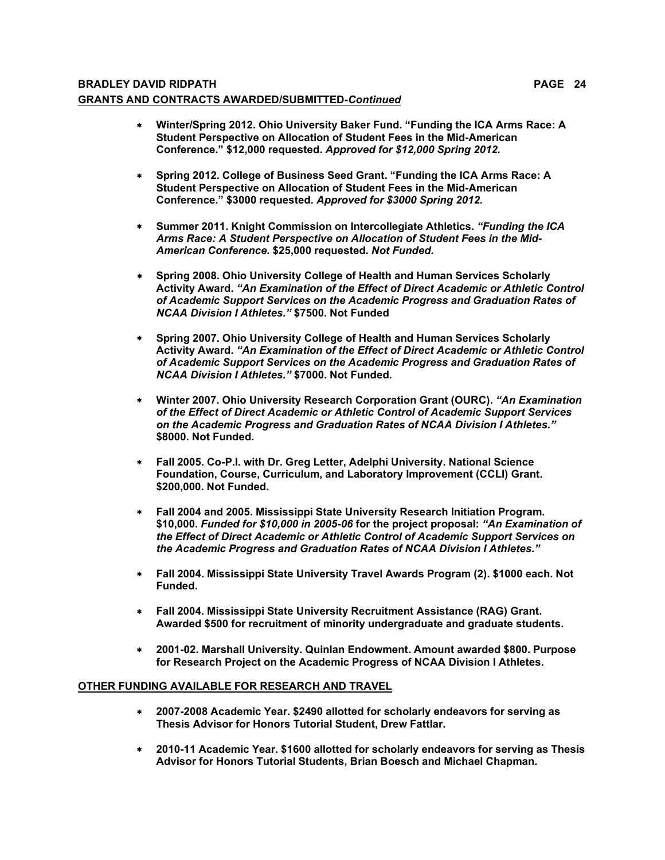# **BRADLEY DAVID RIDPATH PAGE 24 GRANTS AND CONTRACTS AWARDED/SUBMITTED-***Continued*

- \* **Winter/Spring 2012. Ohio University Baker Fund. "Funding the ICA Arms Race: A Student Perspective on Allocation of Student Fees in the Mid-American Conference." \$12,000 requested.** *Approved for \$12,000 Spring 2012.*
- \* **Spring 2012. College of Business Seed Grant. "Funding the ICA Arms Race: A Student Perspective on Allocation of Student Fees in the Mid-American Conference." \$3000 requested.** *Approved for \$3000 Spring 2012.*
- \* **Summer 2011. Knight Commission on Intercollegiate Athletics.** *"Funding the ICA Arms Race: A Student Perspective on Allocation of Student Fees in the Mid-American Conference.* **\$25,000 requested.** *Not Funded.*
- \* **Spring 2008. Ohio University College of Health and Human Services Scholarly Activity Award.** *"An Examination of the Effect of Direct Academic or Athletic Control of Academic Support Services on the Academic Progress and Graduation Rates of NCAA Division I Athletes."* **\$7500. Not Funded**
- \* **Spring 2007. Ohio University College of Health and Human Services Scholarly Activity Award.** *"An Examination of the Effect of Direct Academic or Athletic Control of Academic Support Services on the Academic Progress and Graduation Rates of NCAA Division I Athletes."* **\$7000. Not Funded.**
- \* **Winter 2007. Ohio University Research Corporation Grant (OURC).** *"An Examination of the Effect of Direct Academic or Athletic Control of Academic Support Services on the Academic Progress and Graduation Rates of NCAA Division I Athletes."*  **\$8000. Not Funded.**
- \* **Fall 2005. Co-P.I. with Dr. Greg Letter, Adelphi University. National Science Foundation, Course, Curriculum, and Laboratory Improvement (CCLI) Grant. \$200,000. Not Funded.**
- \* **Fall 2004 and 2005. Mississippi State University Research Initiation Program. \$10,000.** *Funded for \$10,000 in 2005-06* **for the project proposal:** *"An Examination of the Effect of Direct Academic or Athletic Control of Academic Support Services on the Academic Progress and Graduation Rates of NCAA Division I Athletes."*
- \* **Fall 2004. Mississippi State University Travel Awards Program (2). \$1000 each. Not Funded.**
- \* **Fall 2004. Mississippi State University Recruitment Assistance (RAG) Grant. Awarded \$500 for recruitment of minority undergraduate and graduate students.**
- \* **2001-02. Marshall University. Quinlan Endowment. Amount awarded \$800. Purpose for Research Project on the Academic Progress of NCAA Division I Athletes.**

# **OTHER FUNDING AVAILABLE FOR RESEARCH AND TRAVEL**

- \* **2007-2008 Academic Year. \$2490 allotted for scholarly endeavors for serving as Thesis Advisor for Honors Tutorial Student, Drew Fattlar.**
- \* **2010-11 Academic Year. \$1600 allotted for scholarly endeavors for serving as Thesis Advisor for Honors Tutorial Students, Brian Boesch and Michael Chapman.**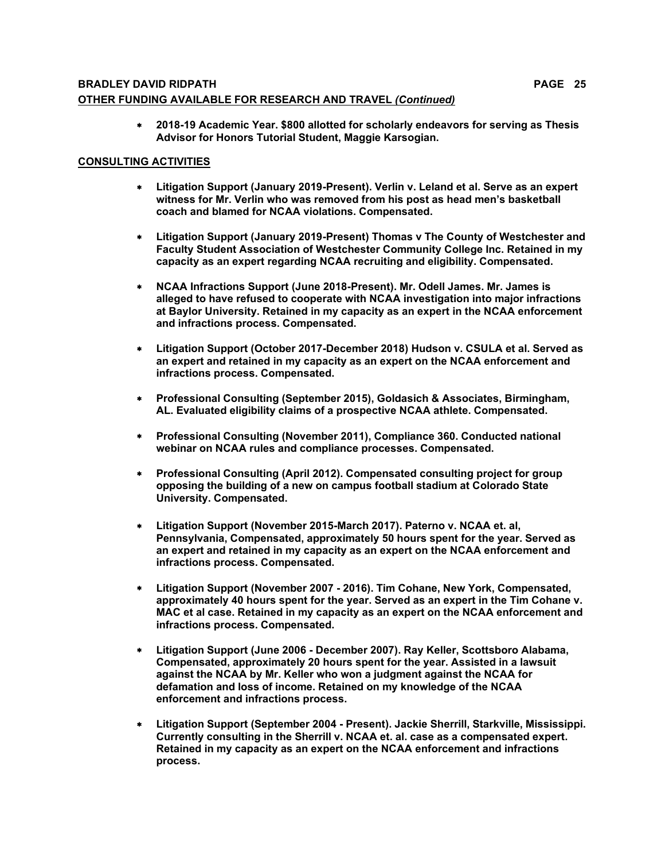# **BRADLEY DAVID RIDPATH PAGE 25 OTHER FUNDING AVAILABLE FOR RESEARCH AND TRAVEL** *(Continued)*

\* **2018-19 Academic Year. \$800 allotted for scholarly endeavors for serving as Thesis Advisor for Honors Tutorial Student, Maggie Karsogian.**

# **CONSULTING ACTIVITIES**

- \* **Litigation Support (January 2019-Present). Verlin v. Leland et al. Serve as an expert witness for Mr. Verlin who was removed from his post as head men's basketball coach and blamed for NCAA violations. Compensated.**
- \* **Litigation Support (January 2019-Present) Thomas v The County of Westchester and Faculty Student Association of Westchester Community College Inc. Retained in my capacity as an expert regarding NCAA recruiting and eligibility. Compensated.**
- \* **NCAA Infractions Support (June 2018-Present). Mr. Odell James. Mr. James is alleged to have refused to cooperate with NCAA investigation into major infractions at Baylor University. Retained in my capacity as an expert in the NCAA enforcement and infractions process. Compensated.**
- \* **Litigation Support (October 2017-December 2018) Hudson v. CSULA et al. Served as an expert and retained in my capacity as an expert on the NCAA enforcement and infractions process. Compensated.**
- \* **Professional Consulting (September 2015), Goldasich & Associates, Birmingham, AL. Evaluated eligibility claims of a prospective NCAA athlete. Compensated.**
- \* **Professional Consulting (November 2011), Compliance 360. Conducted national webinar on NCAA rules and compliance processes. Compensated.**
- \* **Professional Consulting (April 2012). Compensated consulting project for group opposing the building of a new on campus football stadium at Colorado State University. Compensated.**
- \* **Litigation Support (November 2015-March 2017). Paterno v. NCAA et. al, Pennsylvania, Compensated, approximately 50 hours spent for the year. Served as an expert and retained in my capacity as an expert on the NCAA enforcement and infractions process. Compensated.**
- \* **Litigation Support (November 2007 - 2016). Tim Cohane, New York, Compensated, approximately 40 hours spent for the year. Served as an expert in the Tim Cohane v. MAC et al case. Retained in my capacity as an expert on the NCAA enforcement and infractions process. Compensated.**
- \* **Litigation Support (June 2006 - December 2007). Ray Keller, Scottsboro Alabama, Compensated, approximately 20 hours spent for the year. Assisted in a lawsuit against the NCAA by Mr. Keller who won a judgment against the NCAA for defamation and loss of income. Retained on my knowledge of the NCAA enforcement and infractions process.**
- \* **Litigation Support (September 2004 - Present). Jackie Sherrill, Starkville, Mississippi. Currently consulting in the Sherrill v. NCAA et. al. case as a compensated expert. Retained in my capacity as an expert on the NCAA enforcement and infractions process.**